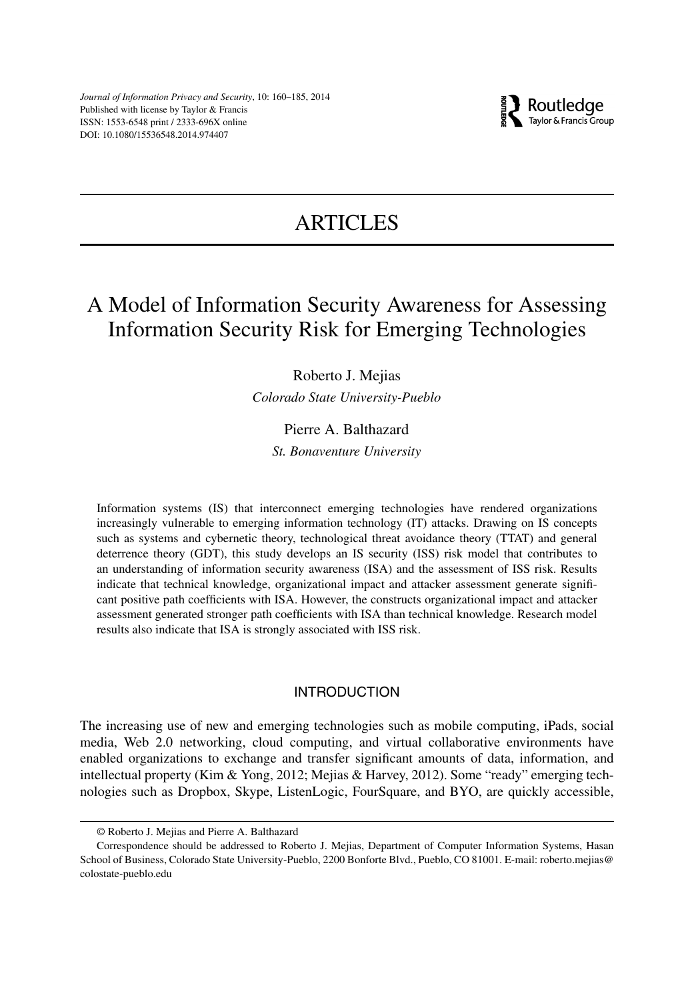

# ARTICLES

## A Model of Information Security Awareness for Assessing Information Security Risk for Emerging Technologies

## Roberto J. Mejias

*Colorado State University-Pueblo*

## Pierre A. Balthazard

*St. Bonaventure University*

Information systems (IS) that interconnect emerging technologies have rendered organizations increasingly vulnerable to emerging information technology (IT) attacks. Drawing on IS concepts such as systems and cybernetic theory, technological threat avoidance theory (TTAT) and general deterrence theory (GDT), this study develops an IS security (ISS) risk model that contributes to an understanding of information security awareness (ISA) and the assessment of ISS risk. Results indicate that technical knowledge, organizational impact and attacker assessment generate significant positive path coefficients with ISA. However, the constructs organizational impact and attacker assessment generated stronger path coefficients with ISA than technical knowledge. Research model results also indicate that ISA is strongly associated with ISS risk.

## INTRODUCTION

The increasing use of new and emerging technologies such as mobile computing, iPads, social media, Web 2.0 networking, cloud computing, and virtual collaborative environments have enabled organizations to exchange and transfer significant amounts of data, information, and intellectual property (Kim & Yong, 2012; Mejias & Harvey, 2012). Some "ready" emerging technologies such as Dropbox, Skype, ListenLogic, FourSquare, and BYO, are quickly accessible,

<sup>©</sup> Roberto J. Mejias and Pierre A. Balthazard

Correspondence should be addressed to Roberto J. Mejias, Department of Computer Information Systems, Hasan School of Business, Colorado State University-Pueblo, 2200 Bonforte Blvd., Pueblo, CO 81001. E-mail: [roberto.mejias@](mailto:roberto.mejias@colostate-pueblo.edu) [colostate-pueblo.edu](mailto:roberto.mejias@colostate-pueblo.edu)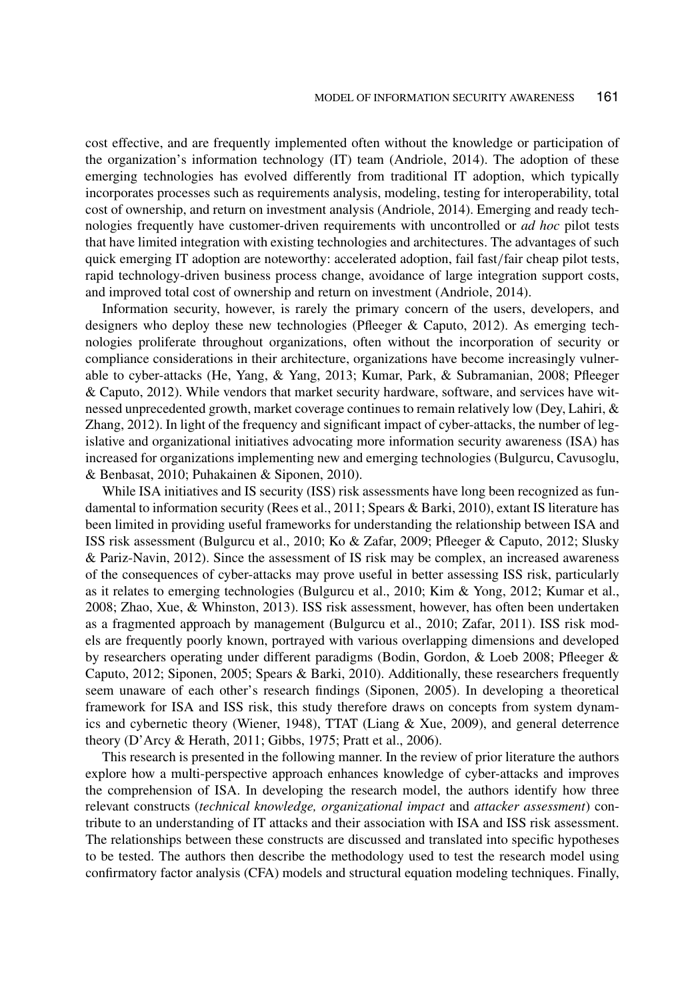cost effective, and are frequently implemented often without the knowledge or participation of the organization's information technology (IT) team (Andriole, 2014). The adoption of these emerging technologies has evolved differently from traditional IT adoption, which typically incorporates processes such as requirements analysis, modeling, testing for interoperability, total cost of ownership, and return on investment analysis (Andriole, 2014). Emerging and ready technologies frequently have customer-driven requirements with uncontrolled or *ad hoc* pilot tests that have limited integration with existing technologies and architectures. The advantages of such quick emerging IT adoption are noteworthy: accelerated adoption, fail fast/fair cheap pilot tests, rapid technology-driven business process change, avoidance of large integration support costs, and improved total cost of ownership and return on investment (Andriole, 2014).

Information security, however, is rarely the primary concern of the users, developers, and designers who deploy these new technologies (Pfleeger & Caputo, 2012). As emerging technologies proliferate throughout organizations, often without the incorporation of security or compliance considerations in their architecture, organizations have become increasingly vulnerable to cyber-attacks (He, Yang, & Yang, 2013; Kumar, Park, & Subramanian, 2008; Pfleeger & Caputo, 2012). While vendors that market security hardware, software, and services have witnessed unprecedented growth, market coverage continues to remain relatively low (Dey, Lahiri, & Zhang, 2012). In light of the frequency and significant impact of cyber-attacks, the number of legislative and organizational initiatives advocating more information security awareness (ISA) has increased for organizations implementing new and emerging technologies (Bulgurcu, Cavusoglu, & Benbasat, 2010; Puhakainen & Siponen, 2010).

While ISA initiatives and IS security (ISS) risk assessments have long been recognized as fundamental to information security (Rees et al., 2011; Spears & Barki, 2010), extant IS literature has been limited in providing useful frameworks for understanding the relationship between ISA and ISS risk assessment (Bulgurcu et al., 2010; Ko & Zafar, 2009; Pfleeger & Caputo, 2012; Slusky & Pariz-Navin, 2012). Since the assessment of IS risk may be complex, an increased awareness of the consequences of cyber-attacks may prove useful in better assessing ISS risk, particularly as it relates to emerging technologies (Bulgurcu et al., 2010; Kim & Yong, 2012; Kumar et al., 2008; Zhao, Xue, & Whinston, 2013). ISS risk assessment, however, has often been undertaken as a fragmented approach by management (Bulgurcu et al., 2010; Zafar, 2011). ISS risk models are frequently poorly known, portrayed with various overlapping dimensions and developed by researchers operating under different paradigms (Bodin, Gordon, & Loeb 2008; Pfleeger & Caputo, 2012; Siponen, 2005; Spears & Barki, 2010). Additionally, these researchers frequently seem unaware of each other's research findings (Siponen, 2005). In developing a theoretical framework for ISA and ISS risk, this study therefore draws on concepts from system dynamics and cybernetic theory (Wiener, 1948), TTAT (Liang & Xue, 2009), and general deterrence theory (D'Arcy & Herath, 2011; Gibbs, 1975; Pratt et al., 2006).

This research is presented in the following manner. In the review of prior literature the authors explore how a multi-perspective approach enhances knowledge of cyber-attacks and improves the comprehension of ISA. In developing the research model, the authors identify how three relevant constructs (*technical knowledge, organizational impact* and *attacker assessment*) contribute to an understanding of IT attacks and their association with ISA and ISS risk assessment. The relationships between these constructs are discussed and translated into specific hypotheses to be tested. The authors then describe the methodology used to test the research model using confirmatory factor analysis (CFA) models and structural equation modeling techniques. Finally,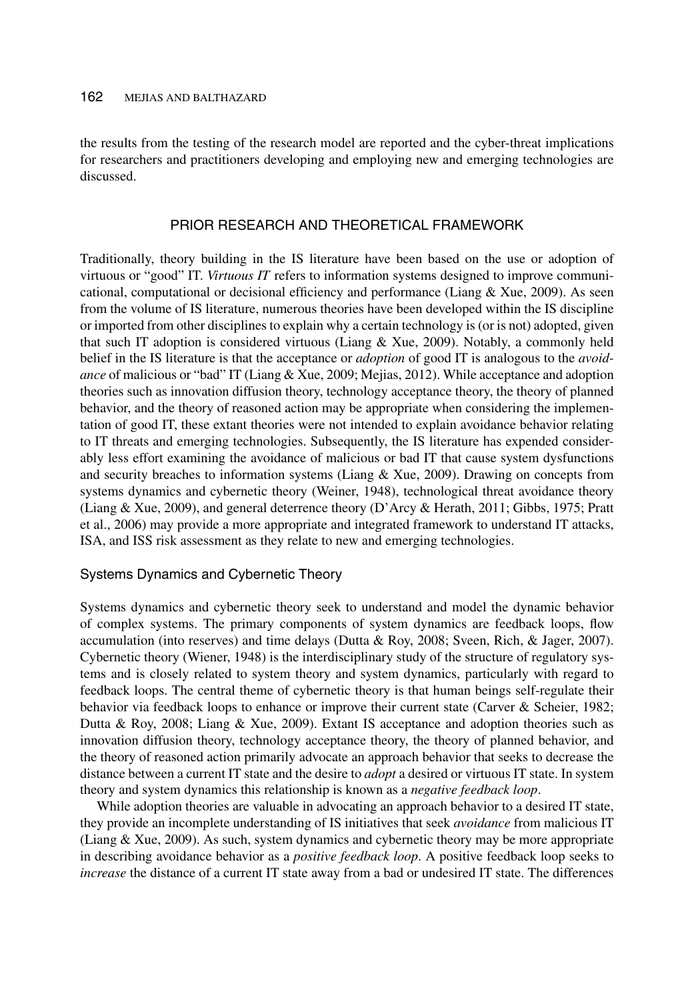the results from the testing of the research model are reported and the cyber-threat implications for researchers and practitioners developing and employing new and emerging technologies are discussed.

## PRIOR RESEARCH AND THEORETICAL FRAMEWORK

Traditionally, theory building in the IS literature have been based on the use or adoption of virtuous or "good" IT. *Virtuous IT* refers to information systems designed to improve communicational, computational or decisional efficiency and performance (Liang & Xue, 2009). As seen from the volume of IS literature, numerous theories have been developed within the IS discipline or imported from other disciplines to explain why a certain technology is (or is not) adopted, given that such IT adoption is considered virtuous (Liang & Xue, 2009). Notably, a commonly held belief in the IS literature is that the acceptance or *adoption* of good IT is analogous to the *avoidance* of malicious or "bad" IT (Liang & Xue, 2009; Mejias, 2012). While acceptance and adoption theories such as innovation diffusion theory, technology acceptance theory, the theory of planned behavior, and the theory of reasoned action may be appropriate when considering the implementation of good IT, these extant theories were not intended to explain avoidance behavior relating to IT threats and emerging technologies. Subsequently, the IS literature has expended considerably less effort examining the avoidance of malicious or bad IT that cause system dysfunctions and security breaches to information systems (Liang  $\&$  Xue, 2009). Drawing on concepts from systems dynamics and cybernetic theory (Weiner, 1948), technological threat avoidance theory (Liang & Xue, 2009), and general deterrence theory (D'Arcy & Herath, 2011; Gibbs, 1975; Pratt et al., 2006) may provide a more appropriate and integrated framework to understand IT attacks, ISA, and ISS risk assessment as they relate to new and emerging technologies.

## Systems Dynamics and Cybernetic Theory

Systems dynamics and cybernetic theory seek to understand and model the dynamic behavior of complex systems. The primary components of system dynamics are feedback loops, flow accumulation (into reserves) and time delays (Dutta & Roy, 2008; Sveen, Rich, & Jager, 2007). Cybernetic theory (Wiener, 1948) is the interdisciplinary study of the structure of regulatory systems and is closely related to system theory and system dynamics, particularly with regard to feedback loops. The central theme of cybernetic theory is that human beings self-regulate their behavior via feedback loops to enhance or improve their current state (Carver & Scheier, 1982; Dutta & Roy, 2008; Liang & Xue, 2009). Extant IS acceptance and adoption theories such as innovation diffusion theory, technology acceptance theory, the theory of planned behavior, and the theory of reasoned action primarily advocate an approach behavior that seeks to decrease the distance between a current IT state and the desire to *adopt* a desired or virtuous IT state. In system theory and system dynamics this relationship is known as a *negative feedback loop*.

While adoption theories are valuable in advocating an approach behavior to a desired IT state, they provide an incomplete understanding of IS initiatives that seek *avoidance* from malicious IT (Liang & Xue, 2009). As such, system dynamics and cybernetic theory may be more appropriate in describing avoidance behavior as a *positive feedback loop*. A positive feedback loop seeks to *increase* the distance of a current IT state away from a bad or undesired IT state. The differences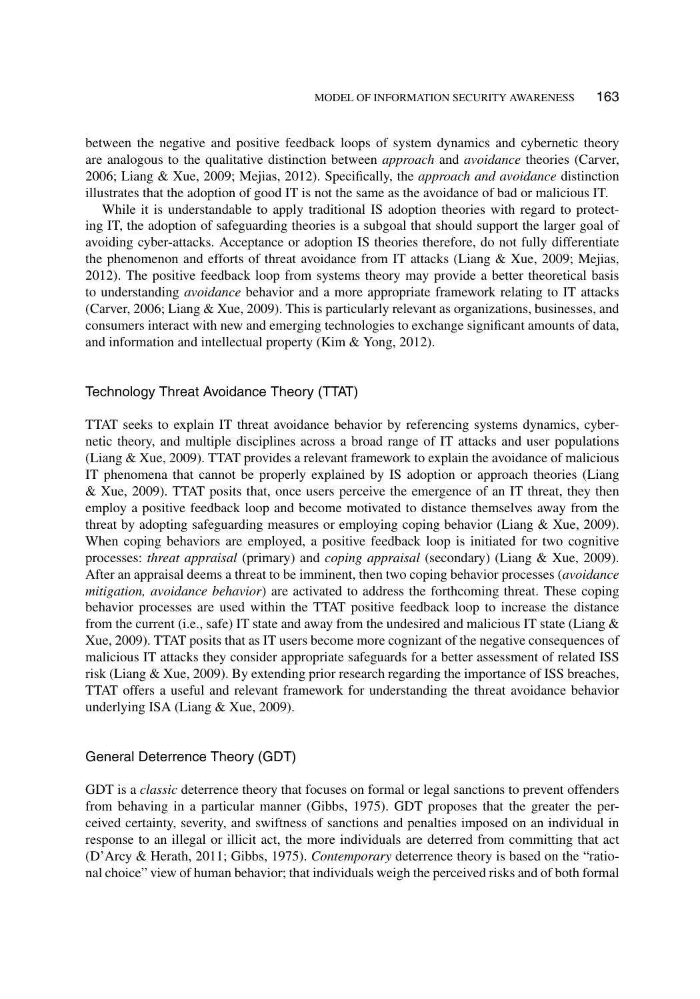between the negative and positive feedback loops of system dynamics and cybernetic theory are analogous to the qualitative distinction between *approach* and *avoidance* theories (Carver, 2006; Liang & Xue, 2009; Mejias, 2012). Specifically, the *approach and avoidance* distinction illustrates that the adoption of good IT is not the same as the avoidance of bad or malicious IT.

While it is understandable to apply traditional IS adoption theories with regard to protecting IT, the adoption of safeguarding theories is a subgoal that should support the larger goal of avoiding cyber-attacks. Acceptance or adoption IS theories therefore, do not fully differentiate the phenomenon and efforts of threat avoidance from IT attacks (Liang & Xue, 2009; Mejias, 2012). The positive feedback loop from systems theory may provide a better theoretical basis to understanding *avoidance* behavior and a more appropriate framework relating to IT attacks (Carver, 2006; Liang & Xue, 2009). This is particularly relevant as organizations, businesses, and consumers interact with new and emerging technologies to exchange significant amounts of data, and information and intellectual property (Kim & Yong, 2012).

## Technology Threat Avoidance Theory (TTAT)

TTAT seeks to explain IT threat avoidance behavior by referencing systems dynamics, cybernetic theory, and multiple disciplines across a broad range of IT attacks and user populations (Liang & Xue, 2009). TTAT provides a relevant framework to explain the avoidance of malicious IT phenomena that cannot be properly explained by IS adoption or approach theories (Liang & Xue, 2009). TTAT posits that, once users perceive the emergence of an IT threat, they then employ a positive feedback loop and become motivated to distance themselves away from the threat by adopting safeguarding measures or employing coping behavior (Liang & Xue, 2009). When coping behaviors are employed, a positive feedback loop is initiated for two cognitive processes: *threat appraisal* (primary) and *coping appraisal* (secondary) (Liang & Xue, 2009). After an appraisal deems a threat to be imminent, then two coping behavior processes (*avoidance mitigation, avoidance behavior*) are activated to address the forthcoming threat. These coping behavior processes are used within the TTAT positive feedback loop to increase the distance from the current (i.e., safe) IT state and away from the undesired and malicious IT state (Liang  $\&$ Xue, 2009). TTAT posits that as IT users become more cognizant of the negative consequences of malicious IT attacks they consider appropriate safeguards for a better assessment of related ISS risk (Liang & Xue, 2009). By extending prior research regarding the importance of ISS breaches, TTAT offers a useful and relevant framework for understanding the threat avoidance behavior underlying ISA (Liang & Xue, 2009).

#### General Deterrence Theory (GDT)

GDT is a *classic* deterrence theory that focuses on formal or legal sanctions to prevent offenders from behaving in a particular manner (Gibbs, 1975). GDT proposes that the greater the perceived certainty, severity, and swiftness of sanctions and penalties imposed on an individual in response to an illegal or illicit act, the more individuals are deterred from committing that act (D'Arcy & Herath, 2011; Gibbs, 1975). *Contemporary* deterrence theory is based on the "rational choice" view of human behavior; that individuals weigh the perceived risks and of both formal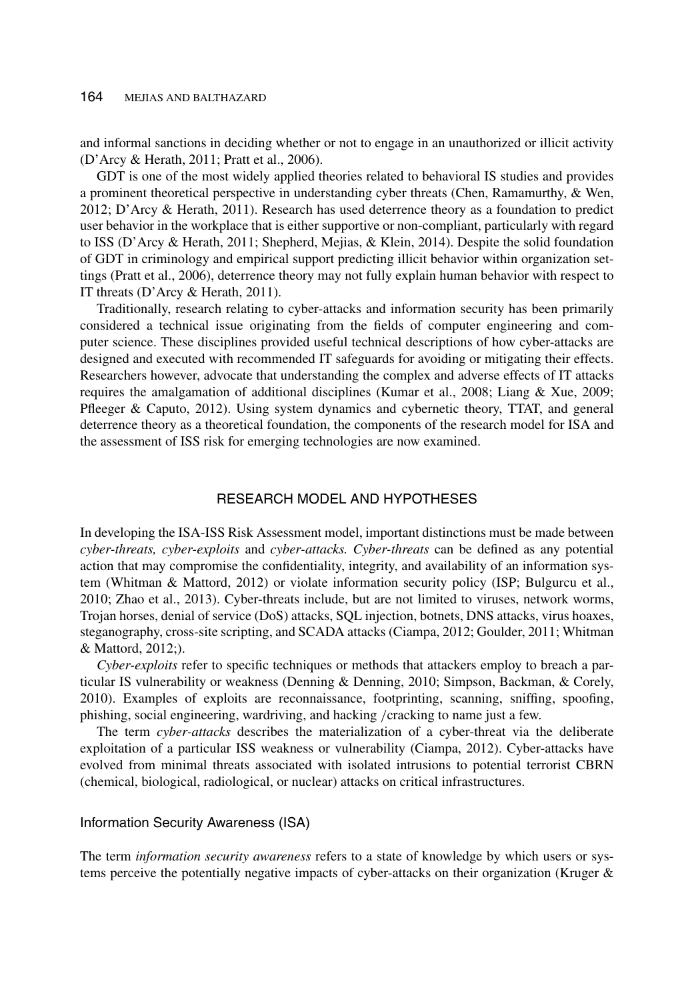and informal sanctions in deciding whether or not to engage in an unauthorized or illicit activity (D'Arcy & Herath, 2011; Pratt et al., 2006).

GDT is one of the most widely applied theories related to behavioral IS studies and provides a prominent theoretical perspective in understanding cyber threats (Chen, Ramamurthy, & Wen, 2012; D'Arcy & Herath, 2011). Research has used deterrence theory as a foundation to predict user behavior in the workplace that is either supportive or non-compliant, particularly with regard to ISS (D'Arcy & Herath, 2011; Shepherd, Mejias, & Klein, 2014). Despite the solid foundation of GDT in criminology and empirical support predicting illicit behavior within organization settings (Pratt et al., 2006), deterrence theory may not fully explain human behavior with respect to IT threats (D'Arcy & Herath, 2011).

Traditionally, research relating to cyber-attacks and information security has been primarily considered a technical issue originating from the fields of computer engineering and computer science. These disciplines provided useful technical descriptions of how cyber-attacks are designed and executed with recommended IT safeguards for avoiding or mitigating their effects. Researchers however, advocate that understanding the complex and adverse effects of IT attacks requires the amalgamation of additional disciplines (Kumar et al., 2008; Liang & Xue, 2009; Pfleeger & Caputo, 2012). Using system dynamics and cybernetic theory, TTAT, and general deterrence theory as a theoretical foundation, the components of the research model for ISA and the assessment of ISS risk for emerging technologies are now examined.

## RESEARCH MODEL AND HYPOTHESES

In developing the ISA-ISS Risk Assessment model, important distinctions must be made between *cyber-threats, cyber-exploits* and *cyber-attacks. Cyber-threats* can be defined as any potential action that may compromise the confidentiality, integrity, and availability of an information system (Whitman & Mattord, 2012) or violate information security policy (ISP; Bulgurcu et al., 2010; Zhao et al., 2013). Cyber-threats include, but are not limited to viruses, network worms, Trojan horses, denial of service (DoS) attacks, SQL injection, botnets, DNS attacks, virus hoaxes, steganography, cross-site scripting, and SCADA attacks (Ciampa, 2012; Goulder, 2011; Whitman & Mattord, 2012;).

*Cyber-exploits* refer to specific techniques or methods that attackers employ to breach a particular IS vulnerability or weakness (Denning & Denning, 2010; Simpson, Backman, & Corely, 2010). Examples of exploits are reconnaissance, footprinting, scanning, sniffing, spoofing, phishing, social engineering, wardriving, and hacking /cracking to name just a few.

The term *cyber-attacks* describes the materialization of a cyber-threat via the deliberate exploitation of a particular ISS weakness or vulnerability (Ciampa, 2012). Cyber-attacks have evolved from minimal threats associated with isolated intrusions to potential terrorist CBRN (chemical, biological, radiological, or nuclear) attacks on critical infrastructures.

#### Information Security Awareness (ISA)

The term *information security awareness* refers to a state of knowledge by which users or systems perceive the potentially negative impacts of cyber-attacks on their organization (Kruger &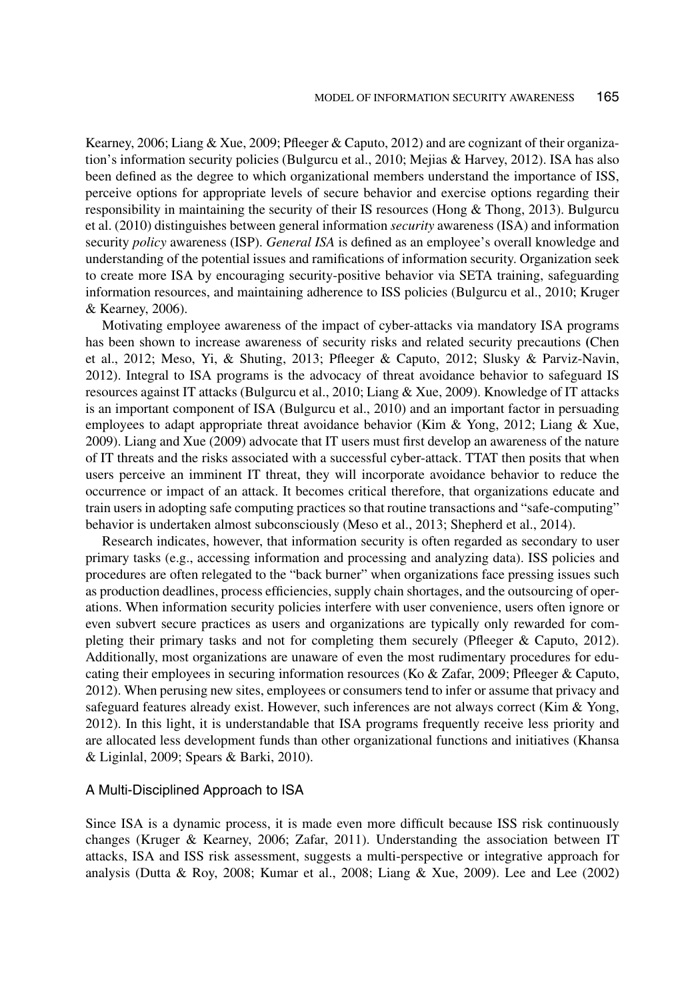Kearney, 2006; Liang & Xue, 2009; Pfleeger & Caputo, 2012) and are cognizant of their organization's information security policies (Bulgurcu et al., 2010; Mejias & Harvey, 2012). ISA has also been defined as the degree to which organizational members understand the importance of ISS, perceive options for appropriate levels of secure behavior and exercise options regarding their responsibility in maintaining the security of their IS resources (Hong & Thong, 2013). Bulgurcu et al. (2010) distinguishes between general information *security* awareness (ISA) and information security *policy* awareness (ISP). *General ISA* is defined as an employee's overall knowledge and understanding of the potential issues and ramifications of information security. Organization seek to create more ISA by encouraging security-positive behavior via SETA training, safeguarding information resources, and maintaining adherence to ISS policies (Bulgurcu et al., 2010; Kruger & Kearney, 2006).

Motivating employee awareness of the impact of cyber-attacks via mandatory ISA programs has been shown to increase awareness of security risks and related security precautions **(**Chen et al., 2012; Meso, Yi, & Shuting, 2013; Pfleeger & Caputo, 2012; Slusky & Parviz-Navin, 2012). Integral to ISA programs is the advocacy of threat avoidance behavior to safeguard IS resources against IT attacks (Bulgurcu et al., 2010; Liang & Xue, 2009). Knowledge of IT attacks is an important component of ISA (Bulgurcu et al., 2010) and an important factor in persuading employees to adapt appropriate threat avoidance behavior (Kim & Yong, 2012; Liang & Xue, 2009). Liang and Xue (2009) advocate that IT users must first develop an awareness of the nature of IT threats and the risks associated with a successful cyber-attack. TTAT then posits that when users perceive an imminent IT threat, they will incorporate avoidance behavior to reduce the occurrence or impact of an attack. It becomes critical therefore, that organizations educate and train users in adopting safe computing practices so that routine transactions and "safe-computing" behavior is undertaken almost subconsciously (Meso et al., 2013; Shepherd et al., 2014).

Research indicates, however, that information security is often regarded as secondary to user primary tasks (e.g., accessing information and processing and analyzing data). ISS policies and procedures are often relegated to the "back burner" when organizations face pressing issues such as production deadlines, process efficiencies, supply chain shortages, and the outsourcing of operations. When information security policies interfere with user convenience, users often ignore or even subvert secure practices as users and organizations are typically only rewarded for completing their primary tasks and not for completing them securely (Pfleeger & Caputo, 2012). Additionally, most organizations are unaware of even the most rudimentary procedures for educating their employees in securing information resources (Ko & Zafar, 2009; Pfleeger & Caputo, 2012). When perusing new sites, employees or consumers tend to infer or assume that privacy and safeguard features already exist. However, such inferences are not always correct (Kim  $\&$  Yong, 2012). In this light, it is understandable that ISA programs frequently receive less priority and are allocated less development funds than other organizational functions and initiatives (Khansa & Liginlal, 2009; Spears & Barki, 2010).

## A Multi-Disciplined Approach to ISA

Since ISA is a dynamic process, it is made even more difficult because ISS risk continuously changes (Kruger & Kearney, 2006; Zafar, 2011). Understanding the association between IT attacks, ISA and ISS risk assessment, suggests a multi-perspective or integrative approach for analysis (Dutta & Roy, 2008; Kumar et al., 2008; Liang & Xue, 2009). Lee and Lee  $(2002)$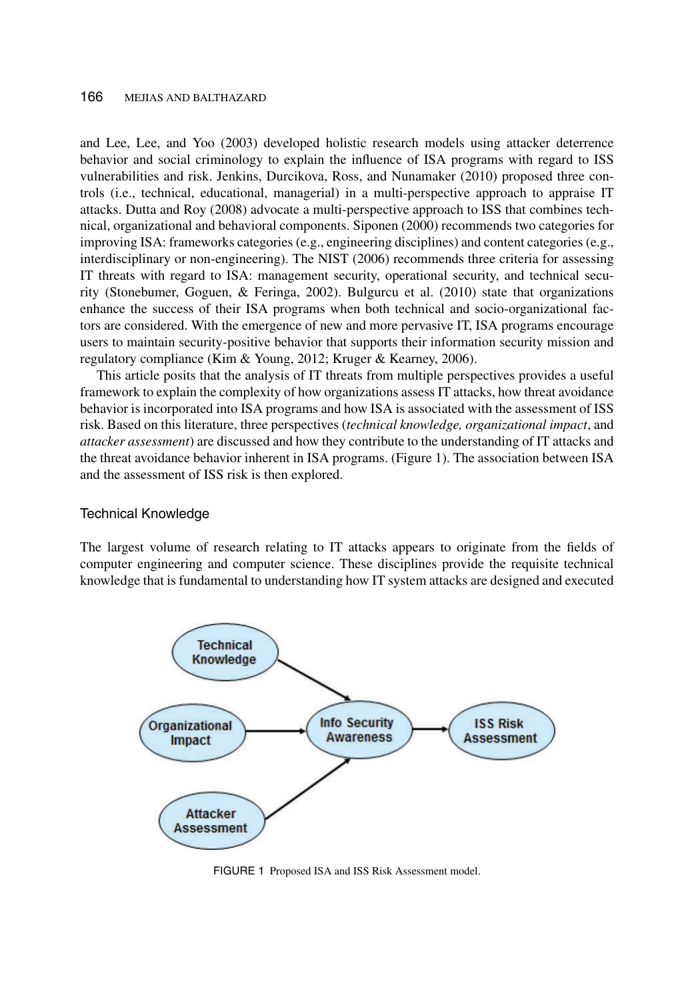and Lee, Lee, and Yoo (2003) developed holistic research models using attacker deterrence behavior and social criminology to explain the influence of ISA programs with regard to ISS vulnerabilities and risk. Jenkins, Durcikova, Ross, and Nunamaker (2010) proposed three controls (i.e., technical, educational, managerial) in a multi-perspective approach to appraise IT attacks. Dutta and Roy (2008) advocate a multi-perspective approach to ISS that combines technical, organizational and behavioral components. Siponen (2000) recommends two categories for improving ISA: frameworks categories (e.g., engineering disciplines) and content categories (e.g., interdisciplinary or non-engineering). The NIST (2006) recommends three criteria for assessing IT threats with regard to ISA: management security, operational security, and technical security (Stonebumer, Goguen, & Feringa, 2002). Bulgurcu et al. (2010) state that organizations enhance the success of their ISA programs when both technical and socio-organizational factors are considered. With the emergence of new and more pervasive IT, ISA programs encourage users to maintain security-positive behavior that supports their information security mission and regulatory compliance (Kim & Young, 2012; Kruger & Kearney, 2006).

This article posits that the analysis of IT threats from multiple perspectives provides a useful framework to explain the complexity of how organizations assess IT attacks, how threat avoidance behavior is incorporated into ISA programs and how ISA is associated with the assessment of ISS risk. Based on this literature, three perspectives (*technical knowledge, organizational impact*, and *attacker assessment*) are discussed and how they contribute to the understanding of IT attacks and the threat avoidance behavior inherent in ISA programs. (Figure 1). The association between ISA and the assessment of ISS risk is then explored.

## Technical Knowledge

The largest volume of research relating to IT attacks appears to originate from the fields of computer engineering and computer science. These disciplines provide the requisite technical knowledge that is fundamental to understanding how IT system attacks are designed and executed



FIGURE 1 Proposed ISA and ISS Risk Assessment model.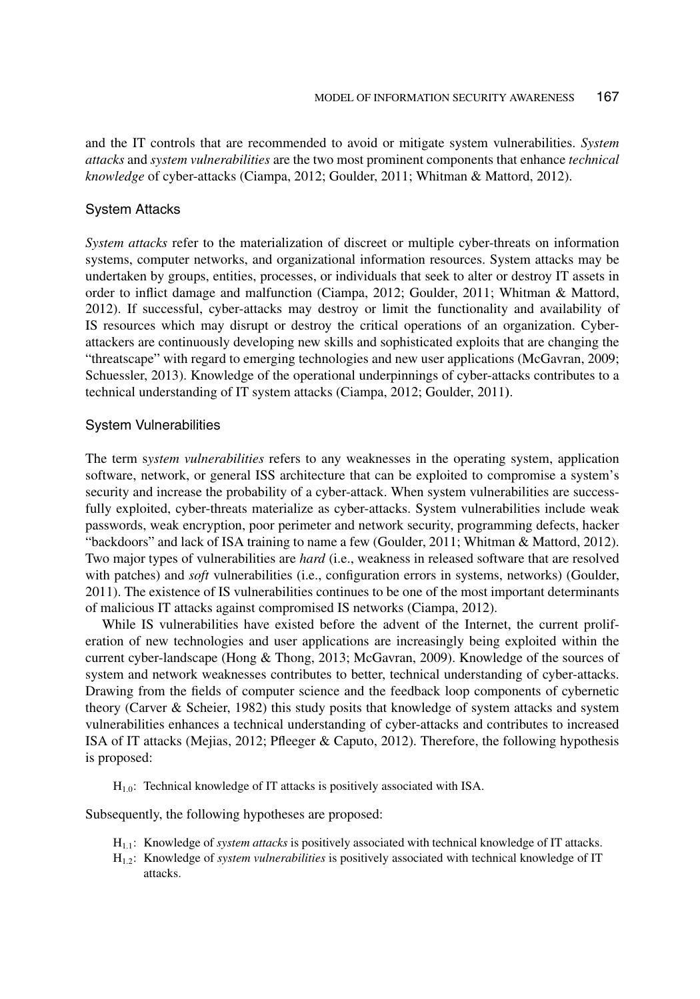and the IT controls that are recommended to avoid or mitigate system vulnerabilities. *System attacks* and *system vulnerabilities* are the two most prominent components that enhance *technical knowledge* of cyber-attacks (Ciampa, 2012; Goulder, 2011; Whitman & Mattord, 2012).

## System Attacks

*System attacks* refer to the materialization of discreet or multiple cyber-threats on information systems, computer networks, and organizational information resources. System attacks may be undertaken by groups, entities, processes, or individuals that seek to alter or destroy IT assets in order to inflict damage and malfunction (Ciampa, 2012; Goulder, 2011; Whitman & Mattord, 2012). If successful, cyber-attacks may destroy or limit the functionality and availability of IS resources which may disrupt or destroy the critical operations of an organization. Cyberattackers are continuously developing new skills and sophisticated exploits that are changing the "threatscape" with regard to emerging technologies and new user applications (McGavran, 2009; Schuessler, 2013). Knowledge of the operational underpinnings of cyber-attacks contributes to a technical understanding of IT system attacks (Ciampa, 2012; Goulder, 2011**)**.

## System Vulnerabilities

The term s*ystem vulnerabilities* refers to any weaknesses in the operating system, application software, network, or general ISS architecture that can be exploited to compromise a system's security and increase the probability of a cyber-attack. When system vulnerabilities are successfully exploited, cyber-threats materialize as cyber-attacks. System vulnerabilities include weak passwords, weak encryption, poor perimeter and network security, programming defects, hacker "backdoors" and lack of ISA training to name a few (Goulder, 2011; Whitman & Mattord, 2012). Two major types of vulnerabilities are *hard* (i.e., weakness in released software that are resolved with patches) and *soft* vulnerabilities (i.e., configuration errors in systems, networks) (Goulder, 2011). The existence of IS vulnerabilities continues to be one of the most important determinants of malicious IT attacks against compromised IS networks (Ciampa, 2012).

While IS vulnerabilities have existed before the advent of the Internet, the current proliferation of new technologies and user applications are increasingly being exploited within the current cyber-landscape (Hong & Thong, 2013; McGavran, 2009). Knowledge of the sources of system and network weaknesses contributes to better, technical understanding of cyber-attacks. Drawing from the fields of computer science and the feedback loop components of cybernetic theory (Carver & Scheier, 1982) this study posits that knowledge of system attacks and system vulnerabilities enhances a technical understanding of cyber-attacks and contributes to increased ISA of IT attacks (Mejias, 2012; Pfleeger & Caputo, 2012). Therefore, the following hypothesis is proposed:

 $H_{1,0}$ : Technical knowledge of IT attacks is positively associated with ISA.

Subsequently, the following hypotheses are proposed:

- H1.1: Knowledge of *system attacks* is positively associated with technical knowledge of IT attacks.
- H1.2: Knowledge of *system vulnerabilities* is positively associated with technical knowledge of IT attacks.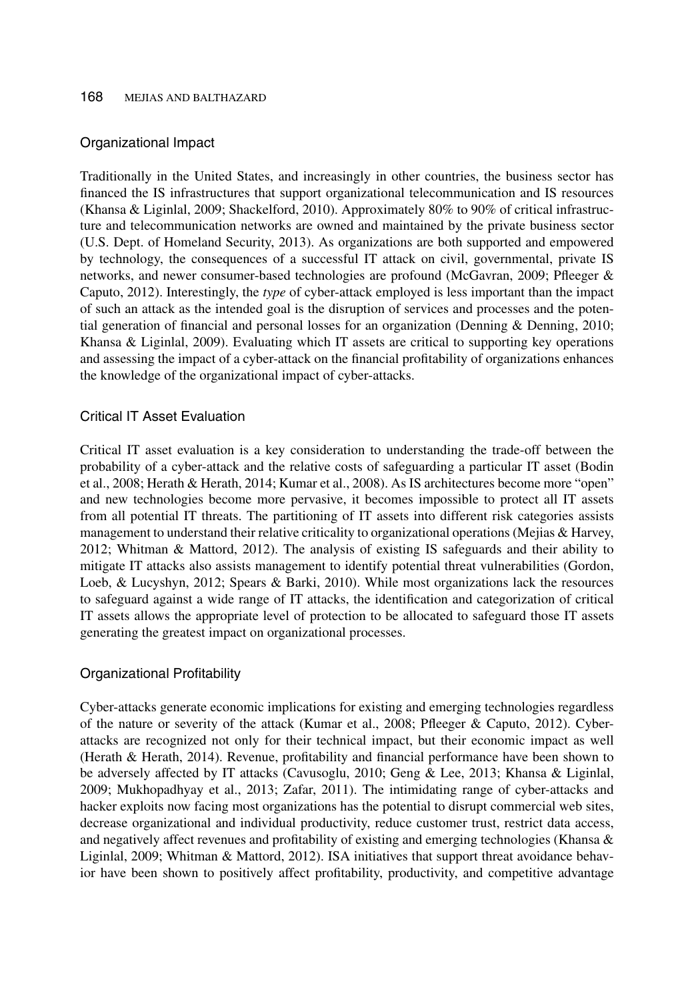## Organizational Impact

Traditionally in the United States, and increasingly in other countries, the business sector has financed the IS infrastructures that support organizational telecommunication and IS resources (Khansa & Liginlal, 2009; Shackelford, 2010). Approximately 80% to 90% of critical infrastructure and telecommunication networks are owned and maintained by the private business sector (U.S. Dept. of Homeland Security, 2013). As organizations are both supported and empowered by technology, the consequences of a successful IT attack on civil, governmental, private IS networks, and newer consumer-based technologies are profound (McGavran, 2009; Pfleeger & Caputo, 2012). Interestingly, the *type* of cyber-attack employed is less important than the impact of such an attack as the intended goal is the disruption of services and processes and the potential generation of financial and personal losses for an organization (Denning & Denning, 2010; Khansa & Liginlal, 2009). Evaluating which IT assets are critical to supporting key operations and assessing the impact of a cyber-attack on the financial profitability of organizations enhances the knowledge of the organizational impact of cyber-attacks.

## Critical IT Asset Evaluation

Critical IT asset evaluation is a key consideration to understanding the trade-off between the probability of a cyber-attack and the relative costs of safeguarding a particular IT asset (Bodin et al., 2008; Herath & Herath, 2014; Kumar et al., 2008). As IS architectures become more "open" and new technologies become more pervasive, it becomes impossible to protect all IT assets from all potential IT threats. The partitioning of IT assets into different risk categories assists management to understand their relative criticality to organizational operations (Mejias & Harvey, 2012; Whitman & Mattord, 2012). The analysis of existing IS safeguards and their ability to mitigate IT attacks also assists management to identify potential threat vulnerabilities (Gordon, Loeb, & Lucyshyn, 2012; Spears & Barki, 2010). While most organizations lack the resources to safeguard against a wide range of IT attacks, the identification and categorization of critical IT assets allows the appropriate level of protection to be allocated to safeguard those IT assets generating the greatest impact on organizational processes.

## Organizational Profitability

Cyber-attacks generate economic implications for existing and emerging technologies regardless of the nature or severity of the attack (Kumar et al., 2008; Pfleeger & Caputo, 2012). Cyberattacks are recognized not only for their technical impact, but their economic impact as well (Herath & Herath, 2014). Revenue, profitability and financial performance have been shown to be adversely affected by IT attacks (Cavusoglu, 2010; Geng & Lee, 2013; Khansa & Liginlal, 2009; Mukhopadhyay et al., 2013; Zafar, 2011). The intimidating range of cyber-attacks and hacker exploits now facing most organizations has the potential to disrupt commercial web sites, decrease organizational and individual productivity, reduce customer trust, restrict data access, and negatively affect revenues and profitability of existing and emerging technologies (Khansa & Liginlal, 2009; Whitman & Mattord, 2012). ISA initiatives that support threat avoidance behavior have been shown to positively affect profitability, productivity, and competitive advantage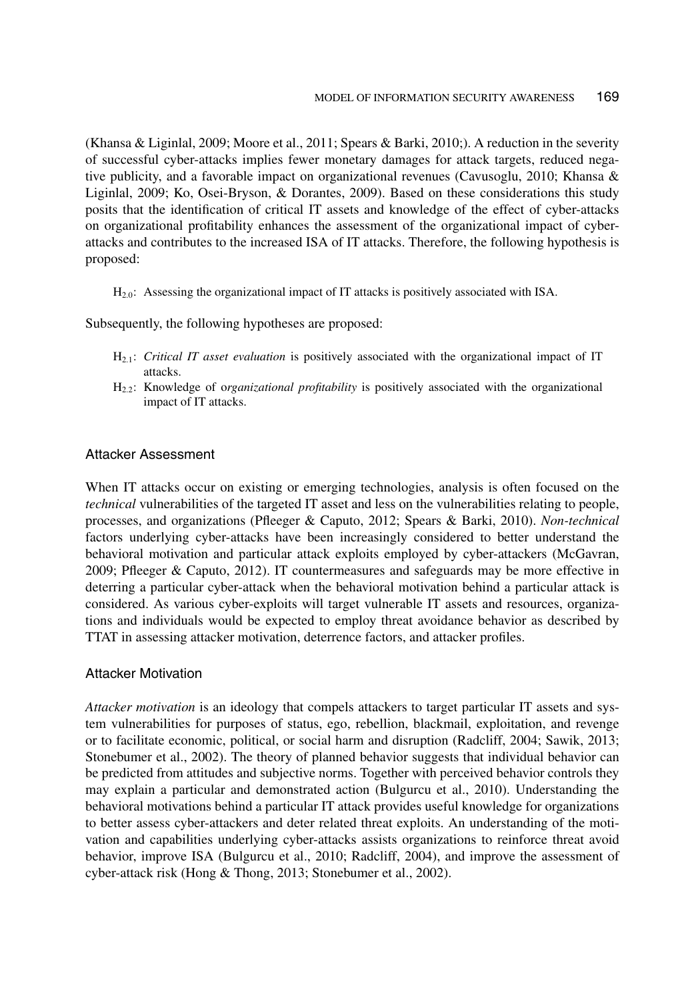(Khansa & Liginlal, 2009; Moore et al., 2011; Spears & Barki, 2010;). A reduction in the severity of successful cyber-attacks implies fewer monetary damages for attack targets, reduced negative publicity, and a favorable impact on organizational revenues (Cavusoglu, 2010; Khansa & Liginlal, 2009; Ko, Osei-Bryson, & Dorantes, 2009). Based on these considerations this study posits that the identification of critical IT assets and knowledge of the effect of cyber-attacks on organizational profitability enhances the assessment of the organizational impact of cyberattacks and contributes to the increased ISA of IT attacks. Therefore, the following hypothesis is proposed:

H2.0: Assessing the organizational impact of IT attacks is positively associated with ISA.

Subsequently, the following hypotheses are proposed:

- H2.1: *Critical IT asset evaluation* is positively associated with the organizational impact of IT attacks.
- H2.2: Knowledge of o*rganizational profitability* is positively associated with the organizational impact of IT attacks.

### Attacker Assessment

When IT attacks occur on existing or emerging technologies, analysis is often focused on the *technical* vulnerabilities of the targeted IT asset and less on the vulnerabilities relating to people, processes, and organizations (Pfleeger & Caputo, 2012; Spears & Barki, 2010). *Non-technical* factors underlying cyber-attacks have been increasingly considered to better understand the behavioral motivation and particular attack exploits employed by cyber-attackers (McGavran, 2009; Pfleeger & Caputo, 2012). IT countermeasures and safeguards may be more effective in deterring a particular cyber-attack when the behavioral motivation behind a particular attack is considered. As various cyber-exploits will target vulnerable IT assets and resources, organizations and individuals would be expected to employ threat avoidance behavior as described by TTAT in assessing attacker motivation, deterrence factors, and attacker profiles.

## Attacker Motivation

*Attacker motivation* is an ideology that compels attackers to target particular IT assets and system vulnerabilities for purposes of status, ego, rebellion, blackmail, exploitation, and revenge or to facilitate economic, political, or social harm and disruption (Radcliff, 2004; Sawik, 2013; Stonebumer et al., 2002). The theory of planned behavior suggests that individual behavior can be predicted from attitudes and subjective norms. Together with perceived behavior controls they may explain a particular and demonstrated action (Bulgurcu et al., 2010). Understanding the behavioral motivations behind a particular IT attack provides useful knowledge for organizations to better assess cyber-attackers and deter related threat exploits. An understanding of the motivation and capabilities underlying cyber-attacks assists organizations to reinforce threat avoid behavior, improve ISA (Bulgurcu et al., 2010; Radcliff, 2004), and improve the assessment of cyber-attack risk (Hong & Thong, 2013; Stonebumer et al., 2002).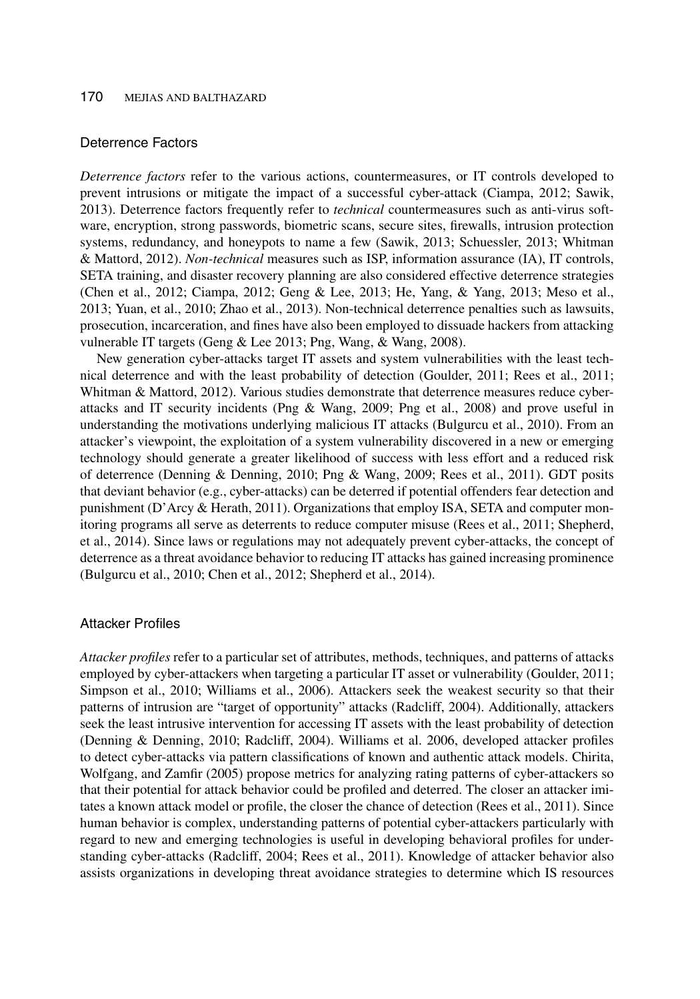#### Deterrence Factors

*Deterrence factors* refer to the various actions, countermeasures, or IT controls developed to prevent intrusions or mitigate the impact of a successful cyber-attack (Ciampa, 2012; Sawik, 2013). Deterrence factors frequently refer to *technical* countermeasures such as anti-virus software, encryption, strong passwords, biometric scans, secure sites, firewalls, intrusion protection systems, redundancy, and honeypots to name a few (Sawik, 2013; Schuessler, 2013; Whitman & Mattord, 2012). *Non-technical* measures such as ISP, information assurance (IA), IT controls, SETA training, and disaster recovery planning are also considered effective deterrence strategies (Chen et al., 2012; Ciampa, 2012; Geng & Lee, 2013; He, Yang, & Yang, 2013; Meso et al., 2013; Yuan, et al., 2010; Zhao et al., 2013). Non-technical deterrence penalties such as lawsuits, prosecution, incarceration, and fines have also been employed to dissuade hackers from attacking vulnerable IT targets (Geng & Lee 2013; Png, Wang, & Wang, 2008).

New generation cyber-attacks target IT assets and system vulnerabilities with the least technical deterrence and with the least probability of detection (Goulder, 2011; Rees et al., 2011; Whitman & Mattord, 2012). Various studies demonstrate that deterrence measures reduce cyberattacks and IT security incidents (Png & Wang, 2009; Png et al., 2008) and prove useful in understanding the motivations underlying malicious IT attacks (Bulgurcu et al., 2010). From an attacker's viewpoint, the exploitation of a system vulnerability discovered in a new or emerging technology should generate a greater likelihood of success with less effort and a reduced risk of deterrence (Denning & Denning, 2010; Png & Wang, 2009; Rees et al., 2011). GDT posits that deviant behavior (e.g., cyber-attacks) can be deterred if potential offenders fear detection and punishment (D'Arcy & Herath, 2011). Organizations that employ ISA, SETA and computer monitoring programs all serve as deterrents to reduce computer misuse (Rees et al., 2011; Shepherd, et al., 2014). Since laws or regulations may not adequately prevent cyber-attacks, the concept of deterrence as a threat avoidance behavior to reducing IT attacks has gained increasing prominence (Bulgurcu et al., 2010; Chen et al., 2012; Shepherd et al., 2014).

## Attacker Profiles

*Attacker profiles* refer to a particular set of attributes, methods, techniques, and patterns of attacks employed by cyber-attackers when targeting a particular IT asset or vulnerability (Goulder, 2011; Simpson et al., 2010; Williams et al., 2006). Attackers seek the weakest security so that their patterns of intrusion are "target of opportunity" attacks (Radcliff, 2004). Additionally, attackers seek the least intrusive intervention for accessing IT assets with the least probability of detection (Denning & Denning, 2010; Radcliff, 2004). Williams et al. 2006, developed attacker profiles to detect cyber-attacks via pattern classifications of known and authentic attack models. Chirita, Wolfgang, and Zamfir (2005) propose metrics for analyzing rating patterns of cyber-attackers so that their potential for attack behavior could be profiled and deterred. The closer an attacker imitates a known attack model or profile, the closer the chance of detection (Rees et al., 2011). Since human behavior is complex, understanding patterns of potential cyber-attackers particularly with regard to new and emerging technologies is useful in developing behavioral profiles for understanding cyber-attacks (Radcliff, 2004; Rees et al., 2011). Knowledge of attacker behavior also assists organizations in developing threat avoidance strategies to determine which IS resources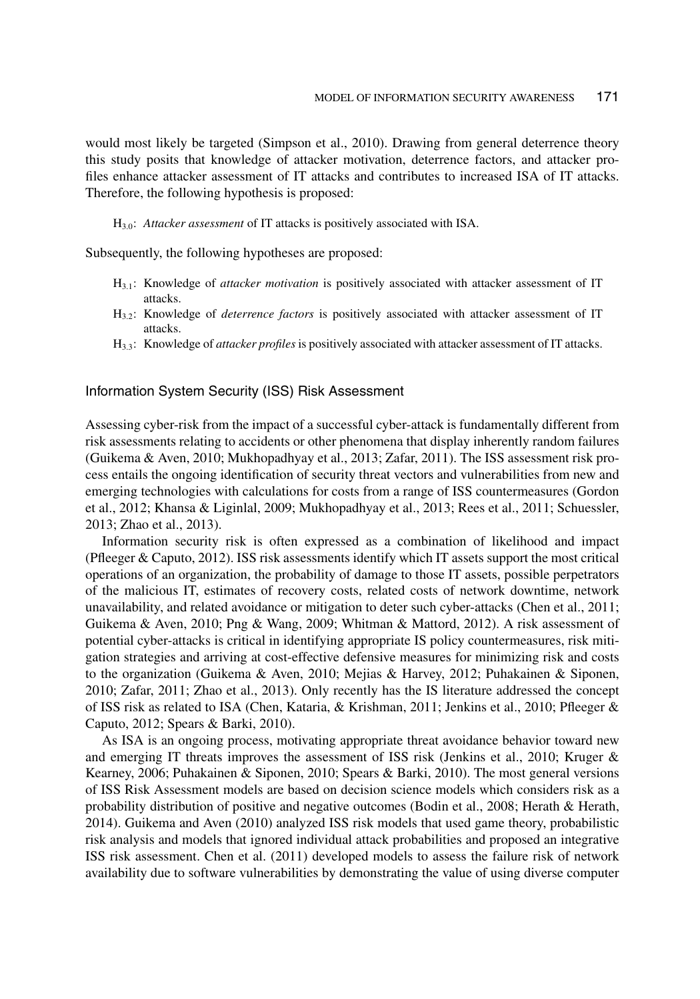would most likely be targeted (Simpson et al., 2010). Drawing from general deterrence theory this study posits that knowledge of attacker motivation, deterrence factors, and attacker profiles enhance attacker assessment of IT attacks and contributes to increased ISA of IT attacks. Therefore, the following hypothesis is proposed:

H3.0: *Attacker assessment* of IT attacks is positively associated with ISA.

Subsequently, the following hypotheses are proposed:

- H3.1: Knowledge of *attacker motivation* is positively associated with attacker assessment of IT attacks.
- H3.2: Knowledge of *deterrence factors* is positively associated with attacker assessment of IT attacks.
- H3.3: Knowledge of *attacker profiles* is positively associated with attacker assessment of IT attacks.

Information System Security (ISS) Risk Assessment

Assessing cyber-risk from the impact of a successful cyber-attack is fundamentally different from risk assessments relating to accidents or other phenomena that display inherently random failures (Guikema & Aven, 2010; Mukhopadhyay et al., 2013; Zafar, 2011). The ISS assessment risk process entails the ongoing identification of security threat vectors and vulnerabilities from new and emerging technologies with calculations for costs from a range of ISS countermeasures (Gordon et al., 2012; Khansa & Liginlal, 2009; Mukhopadhyay et al., 2013; Rees et al., 2011; Schuessler, 2013; Zhao et al., 2013).

Information security risk is often expressed as a combination of likelihood and impact (Pfleeger & Caputo, 2012). ISS risk assessments identify which IT assets support the most critical operations of an organization, the probability of damage to those IT assets, possible perpetrators of the malicious IT, estimates of recovery costs, related costs of network downtime, network unavailability, and related avoidance or mitigation to deter such cyber-attacks (Chen et al., 2011; Guikema & Aven, 2010; Png & Wang, 2009; Whitman & Mattord, 2012). A risk assessment of potential cyber-attacks is critical in identifying appropriate IS policy countermeasures, risk mitigation strategies and arriving at cost-effective defensive measures for minimizing risk and costs to the organization (Guikema & Aven, 2010; Mejias & Harvey, 2012; Puhakainen & Siponen, 2010; Zafar, 2011; Zhao et al., 2013). Only recently has the IS literature addressed the concept of ISS risk as related to ISA (Chen, Kataria, & Krishman, 2011; Jenkins et al., 2010; Pfleeger & Caputo, 2012; Spears & Barki, 2010).

As ISA is an ongoing process, motivating appropriate threat avoidance behavior toward new and emerging IT threats improves the assessment of ISS risk (Jenkins et al., 2010; Kruger & Kearney, 2006; Puhakainen & Siponen, 2010; Spears & Barki, 2010). The most general versions of ISS Risk Assessment models are based on decision science models which considers risk as a probability distribution of positive and negative outcomes (Bodin et al., 2008; Herath & Herath, 2014). Guikema and Aven (2010) analyzed ISS risk models that used game theory, probabilistic risk analysis and models that ignored individual attack probabilities and proposed an integrative ISS risk assessment. Chen et al. (2011) developed models to assess the failure risk of network availability due to software vulnerabilities by demonstrating the value of using diverse computer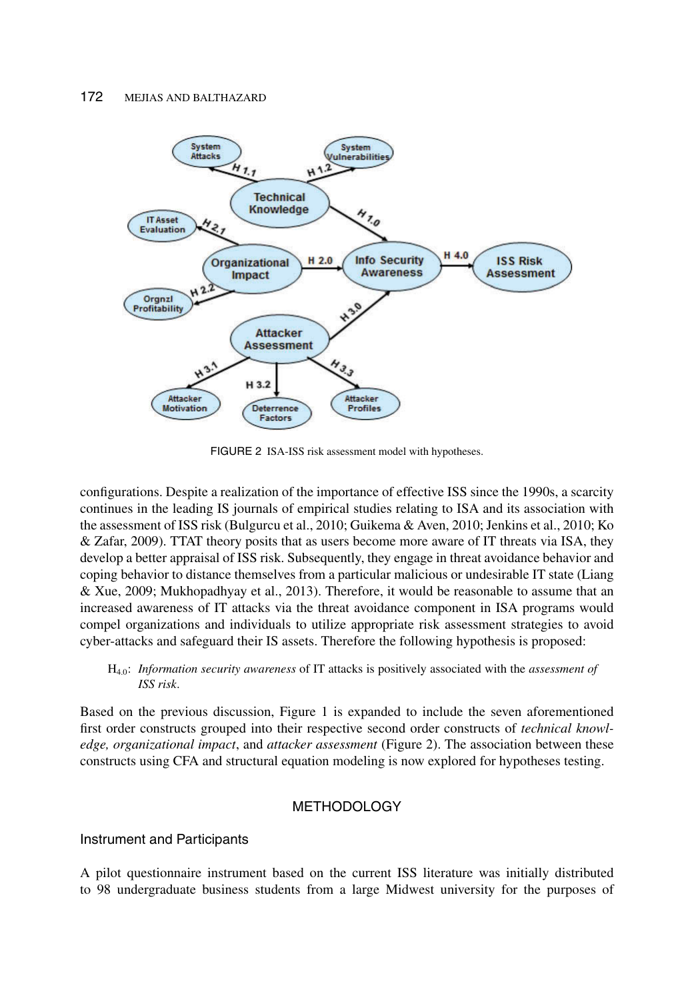

FIGURE 2 ISA-ISS risk assessment model with hypotheses.

configurations. Despite a realization of the importance of effective ISS since the 1990s, a scarcity continues in the leading IS journals of empirical studies relating to ISA and its association with the assessment of ISS risk (Bulgurcu et al., 2010; Guikema & Aven, 2010; Jenkins et al., 2010; Ko & Zafar, 2009). TTAT theory posits that as users become more aware of IT threats via ISA, they develop a better appraisal of ISS risk. Subsequently, they engage in threat avoidance behavior and coping behavior to distance themselves from a particular malicious or undesirable IT state (Liang & Xue, 2009; Mukhopadhyay et al., 2013). Therefore, it would be reasonable to assume that an increased awareness of IT attacks via the threat avoidance component in ISA programs would compel organizations and individuals to utilize appropriate risk assessment strategies to avoid cyber-attacks and safeguard their IS assets. Therefore the following hypothesis is proposed:

H4.0: *Information security awareness* of IT attacks is positively associated with the *assessment of ISS risk*.

Based on the previous discussion, Figure 1 is expanded to include the seven aforementioned first order constructs grouped into their respective second order constructs of *technical knowledge, organizational impact*, and *attacker assessment* (Figure 2). The association between these constructs using CFA and structural equation modeling is now explored for hypotheses testing.

## **METHODOLOGY**

Instrument and Participants

A pilot questionnaire instrument based on the current ISS literature was initially distributed to 98 undergraduate business students from a large Midwest university for the purposes of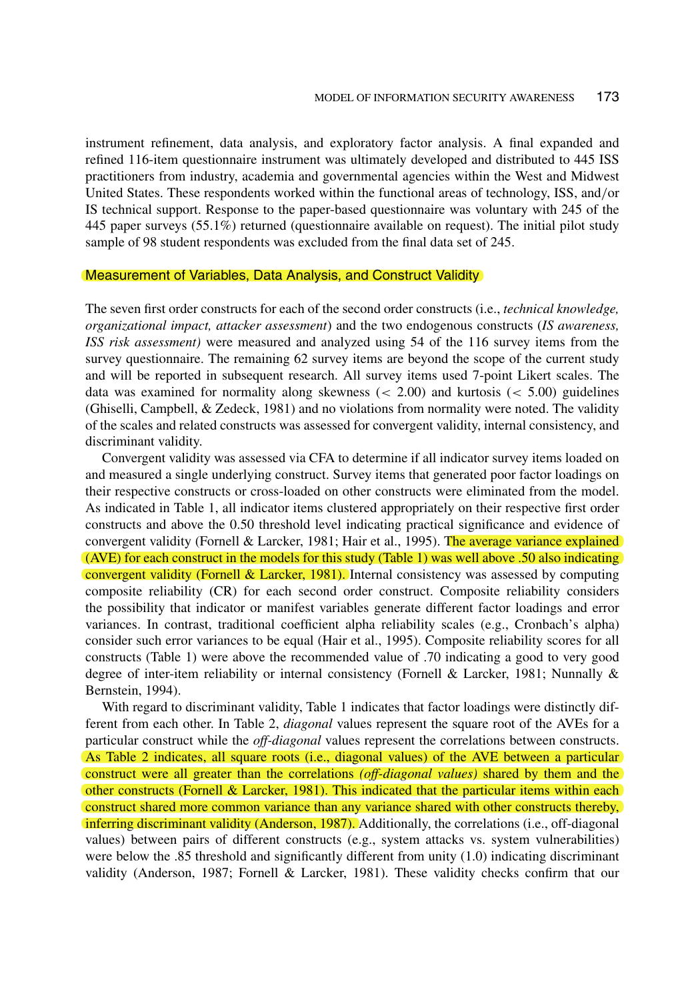instrument refinement, data analysis, and exploratory factor analysis. A final expanded and refined 116-item questionnaire instrument was ultimately developed and distributed to 445 ISS practitioners from industry, academia and governmental agencies within the West and Midwest United States. These respondents worked within the functional areas of technology, ISS, and/or IS technical support. Response to the paper-based questionnaire was voluntary with 245 of the 445 paper surveys (55.1%) returned (questionnaire available on request). The initial pilot study sample of 98 student respondents was excluded from the final data set of 245.

#### Measurement of Variables, Data Analysis, and Construct Validity

The seven first order constructs for each of the second order constructs (i.e., *technical knowledge, organizational impact, attacker assessment*) and the two endogenous constructs (*IS awareness, ISS risk assessment)* were measured and analyzed using 54 of the 116 survey items from the survey questionnaire. The remaining 62 survey items are beyond the scope of the current study and will be reported in subsequent research. All survey items used 7-point Likert scales. The data was examined for normality along skewness  $( $2.00$ ) and kurtosis  $( $5.00$ ) guidelines$$ (Ghiselli, Campbell, & Zedeck, 1981) and no violations from normality were noted. The validity of the scales and related constructs was assessed for convergent validity, internal consistency, and discriminant validity.

Convergent validity was assessed via CFA to determine if all indicator survey items loaded on and measured a single underlying construct. Survey items that generated poor factor loadings on their respective constructs or cross-loaded on other constructs were eliminated from the model. As indicated in Table 1, all indicator items clustered appropriately on their respective first order constructs and above the 0.50 threshold level indicating practical significance and evidence of convergent validity (Fornell & Larcker, 1981; Hair et al., 1995). The average variance explained (AVE) for each construct in the models for this study (Table 1) was well above .50 also indicating convergent validity (Fornell & Larcker, 1981). Internal consistency was assessed by computing composite reliability (CR) for each second order construct. Composite reliability considers the possibility that indicator or manifest variables generate different factor loadings and error variances. In contrast, traditional coefficient alpha reliability scales (e.g., Cronbach's alpha) consider such error variances to be equal (Hair et al., 1995). Composite reliability scores for all constructs (Table 1) were above the recommended value of .70 indicating a good to very good degree of inter-item reliability or internal consistency (Fornell & Larcker, 1981; Nunnally & Bernstein, 1994).

With regard to discriminant validity, Table 1 indicates that factor loadings were distinctly different from each other. In Table 2, *diagonal* values represent the square root of the AVEs for a particular construct while the *off-diagonal* values represent the correlations between constructs. As Table 2 indicates, all square roots (i.e., diagonal values) of the AVE between a particular construct were all greater than the correlations *(off-diagonal values)* shared by them and the other constructs (Fornell & Larcker, 1981). This indicated that the particular items within each construct shared more common variance than any variance shared with other constructs thereby, inferring discriminant validity (Anderson, 1987). Additionally, the correlations (i.e., off-diagonal values) between pairs of different constructs (e.g., system attacks vs. system vulnerabilities) were below the .85 threshold and significantly different from unity (1.0) indicating discriminant validity (Anderson, 1987; Fornell & Larcker, 1981). These validity checks confirm that our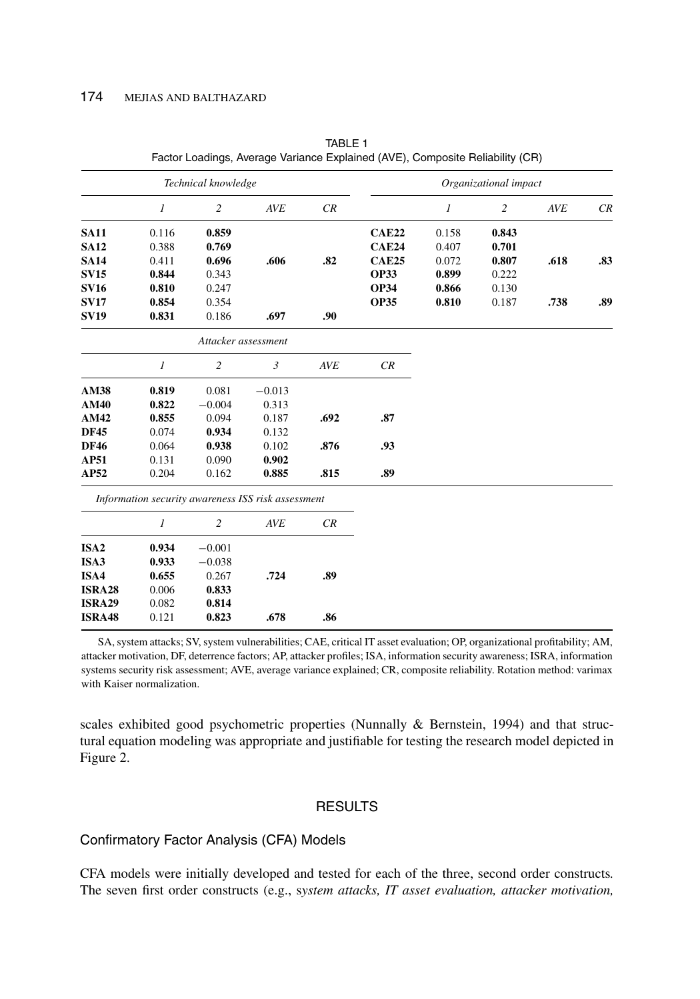|                  | Technical knowledge |                     |                                                    | Organizational impact |              |                |                |      |     |
|------------------|---------------------|---------------------|----------------------------------------------------|-----------------------|--------------|----------------|----------------|------|-----|
|                  | 1                   | $\overline{c}$      | AVE                                                | CR                    |              | $\mathfrak{1}$ | $\overline{c}$ | AVE  | CR  |
| <b>SA11</b>      | 0.116               | 0.859               |                                                    |                       | <b>CAE22</b> | 0.158          | 0.843          |      |     |
| <b>SA12</b>      | 0.388               | 0.769               |                                                    |                       | <b>CAE24</b> | 0.407          | 0.701          |      |     |
| <b>SA14</b>      | 0.411               | 0.696               | .606                                               | .82                   | <b>CAE25</b> | 0.072          | 0.807          | .618 | .83 |
| <b>SV15</b>      | 0.844               | 0.343               |                                                    |                       | <b>OP33</b>  | 0.899          | 0.222          |      |     |
| <b>SV16</b>      | 0.810               | 0.247               |                                                    |                       | <b>OP34</b>  | 0.866          | 0.130          |      |     |
| <b>SV17</b>      | 0.854               | 0.354               |                                                    |                       | <b>OP35</b>  | 0.810          | 0.187          | .738 | .89 |
| <b>SV19</b>      | 0.831               | 0.186               | .697                                               | .90                   |              |                |                |      |     |
|                  |                     | Attacker assessment |                                                    |                       |              |                |                |      |     |
|                  | $\mathfrak{1}$      | $\overline{2}$      | $\mathfrak{Z}$                                     | AVE                   | CR           |                |                |      |     |
| AM38             | 0.819               | 0.081               | $-0.013$                                           |                       |              |                |                |      |     |
| AM40             | 0.822               | $-0.004$            | 0.313                                              |                       |              |                |                |      |     |
| AM42             | 0.855               | 0.094               | 0.187                                              | .692                  | .87          |                |                |      |     |
| <b>DF45</b>      | 0.074               | 0.934               | 0.132                                              |                       |              |                |                |      |     |
| <b>DF46</b>      | 0.064               | 0.938               | 0.102                                              | .876                  | .93          |                |                |      |     |
| AP51             | 0.131               | 0.090               | 0.902                                              |                       |              |                |                |      |     |
| AP52             | 0.204               | 0.162               | 0.885                                              | .815                  | .89          |                |                |      |     |
|                  |                     |                     | Information security awareness ISS risk assessment |                       |              |                |                |      |     |
|                  | 1                   | $\overline{c}$      | <b>AVE</b>                                         | CR                    |              |                |                |      |     |
| ISA <sub>2</sub> | 0.934               | $-0.001$            |                                                    |                       |              |                |                |      |     |
| ISA3             | 0.933               | $-0.038$            |                                                    |                       |              |                |                |      |     |
| ISA4             | 0.655               | 0.267               | .724                                               | .89                   |              |                |                |      |     |
| <b>ISRA28</b>    | 0.006               | 0.833               |                                                    |                       |              |                |                |      |     |
| <b>ISRA29</b>    | 0.082               | 0.814               |                                                    |                       |              |                |                |      |     |
| <b>ISRA48</b>    | 0.121               | 0.823               | .678                                               | .86                   |              |                |                |      |     |

TABLE 1 Factor Loadings, Average Variance Explained (AVE), Composite Reliability (CR)

SA, system attacks; SV, system vulnerabilities; CAE, critical IT asset evaluation; OP, organizational profitability; AM, attacker motivation, DF, deterrence factors; AP, attacker profiles; ISA, information security awareness; ISRA, information systems security risk assessment; AVE, average variance explained; CR, composite reliability. Rotation method: varimax with Kaiser normalization.

scales exhibited good psychometric properties (Nunnally & Bernstein, 1994) and that structural equation modeling was appropriate and justifiable for testing the research model depicted in Figure 2.

## **RESULTS**

## Confirmatory Factor Analysis (CFA) Models

CFA models were initially developed and tested for each of the three, second order constructs*.* The seven first order constructs (e.g., s*ystem attacks, IT asset evaluation, attacker motivation,*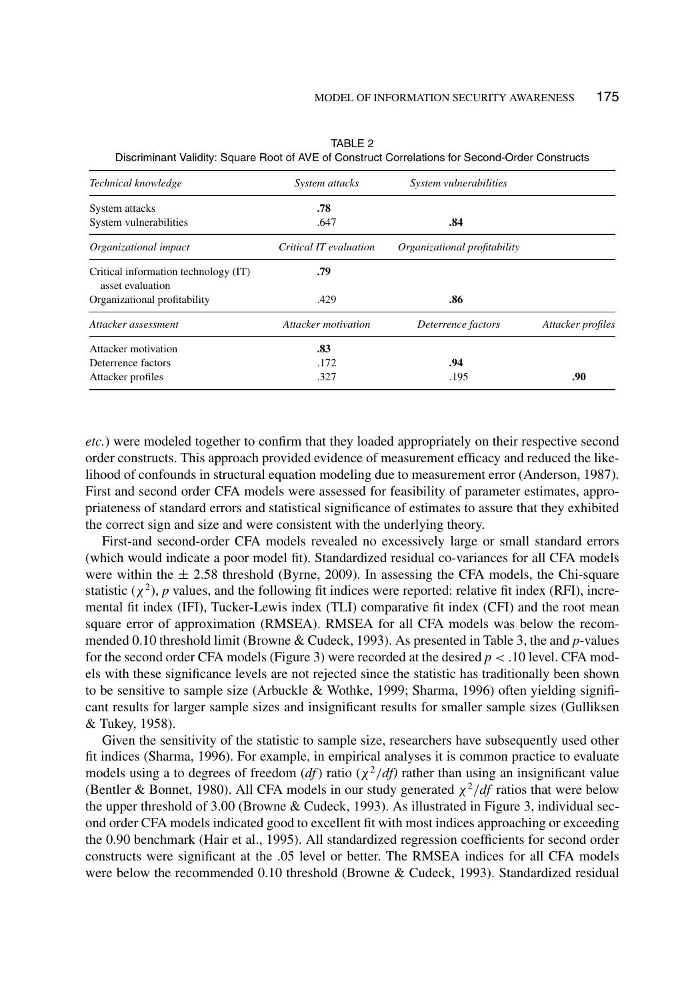| Technical knowledge                                      | System attacks         | System vulnerabilities       |                   |
|----------------------------------------------------------|------------------------|------------------------------|-------------------|
| System attacks                                           | .78                    |                              |                   |
| System vulnerabilities                                   | .647                   | .84                          |                   |
| Organizational impact                                    | Critical IT evaluation | Organizational profitability |                   |
| Critical information technology (IT)<br>asset evaluation | .79                    |                              |                   |
| Organizational profitability                             | .429                   | .86                          |                   |
| Attacker assessment                                      | Attacker motivation    | Deterrence factors           | Attacker profiles |
| Attacker motivation                                      | .83                    |                              |                   |
| Deterrence factors                                       | .172                   | .94                          |                   |
| Attacker profiles                                        | .327                   | .195                         | .90               |

TABLE 2 Discriminant Validity: Square Root of AVE of Construct Correlations for Second-Order Constructs

*etc.*) were modeled together to confirm that they loaded appropriately on their respective second order constructs. This approach provided evidence of measurement efficacy and reduced the likelihood of confounds in structural equation modeling due to measurement error (Anderson, 1987). First and second order CFA models were assessed for feasibility of parameter estimates, appropriateness of standard errors and statistical significance of estimates to assure that they exhibited the correct sign and size and were consistent with the underlying theory.

First-and second-order CFA models revealed no excessively large or small standard errors (which would indicate a poor model fit). Standardized residual co-variances for all CFA models were within the  $\pm$  2.58 threshold (Byrne, 2009). In assessing the CFA models, the Chi-square statistic  $(\chi^2)$ , *p* values, and the following fit indices were reported: relative fit index (RFI), incremental fit index (IFI), Tucker-Lewis index (TLI) comparative fit index (CFI) and the root mean square error of approximation (RMSEA). RMSEA for all CFA models was below the recommended 0.10 threshold limit (Browne & Cudeck, 1993). As presented in Table 3, the and *p*-values for the second order CFA models (Figure 3) were recorded at the desired  $p < .10$  level. CFA models with these significance levels are not rejected since the statistic has traditionally been shown to be sensitive to sample size (Arbuckle & Wothke, 1999; Sharma, 1996) often yielding significant results for larger sample sizes and insignificant results for smaller sample sizes (Gulliksen & Tukey, 1958).

Given the sensitivity of the statistic to sample size, researchers have subsequently used other fit indices (Sharma, 1996). For example, in empirical analyses it is common practice to evaluate models using a to degrees of freedom (*df*) ratio ( $\chi^2/df$ ) rather than using an insignificant value (Bentler & Bonnet, 1980). All CFA models in our study generated  $\chi^2/df$  ratios that were below the upper threshold of 3.00 (Browne & Cudeck, 1993). As illustrated in Figure 3, individual second order CFA models indicated good to excellent fit with most indices approaching or exceeding the 0.90 benchmark (Hair et al., 1995). All standardized regression coefficients for second order constructs were significant at the .05 level or better. The RMSEA indices for all CFA models were below the recommended 0.10 threshold (Browne & Cudeck, 1993). Standardized residual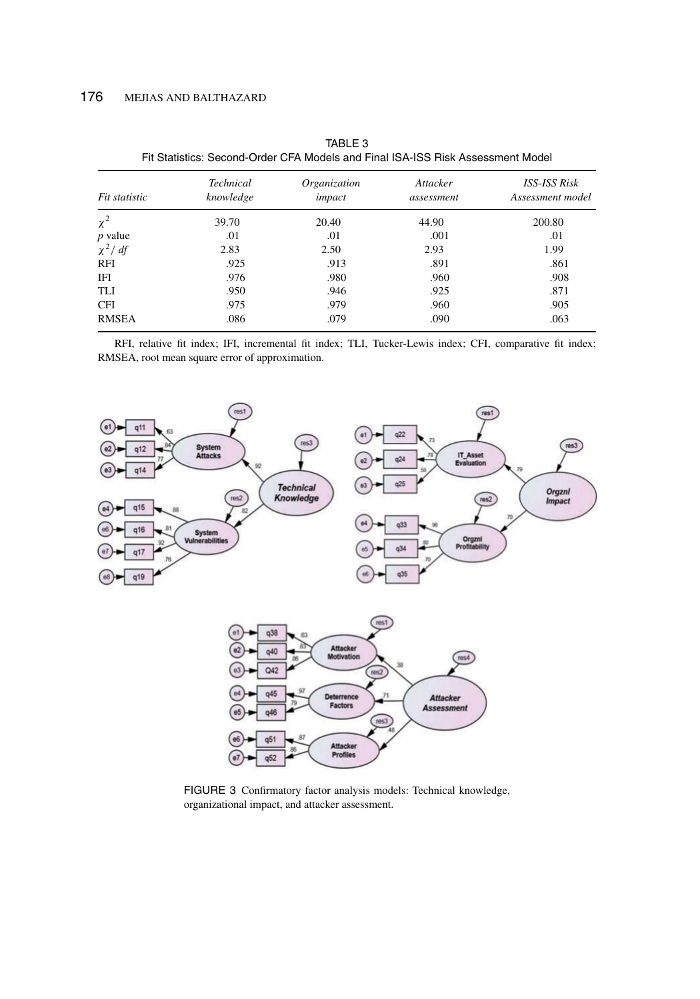| Fit statistic | <b>Technical</b><br>knowledge | Organization<br>impact | Attacker<br>assessment | <b>ISS-ISS Risk</b><br>Assessment model |
|---------------|-------------------------------|------------------------|------------------------|-----------------------------------------|
| $\chi^2$      | 39.70                         | 20.40                  | 44.90                  | 200.80                                  |
| $p$ value     | .01                           | .01                    | .001                   | .01                                     |
| $\chi^2/df$   | 2.83                          | 2.50                   | 2.93                   | 1.99                                    |
| RFI           | .925                          | .913                   | .891                   | .861                                    |
| IFI           | .976                          | .980                   | .960                   | .908                                    |
| TLI           | .950                          | .946                   | .925                   | .871                                    |
| <b>CFI</b>    | .975                          | .979                   | .960                   | .905                                    |
| <b>RMSEA</b>  | .086                          | .079                   | .090                   | .063                                    |
|               |                               |                        |                        |                                         |

TABLE 3 Fit Statistics: Second-Order CFA Models and Final ISA-ISS Risk Assessment Model

RFI, relative fit index; IFI, incremental fit index; TLI, Tucker-Lewis index; CFI, comparative fit index; RMSEA, root mean square error of approximation.



FIGURE 3 Confirmatory factor analysis models: Technical knowledge, organizational impact, and attacker assessment.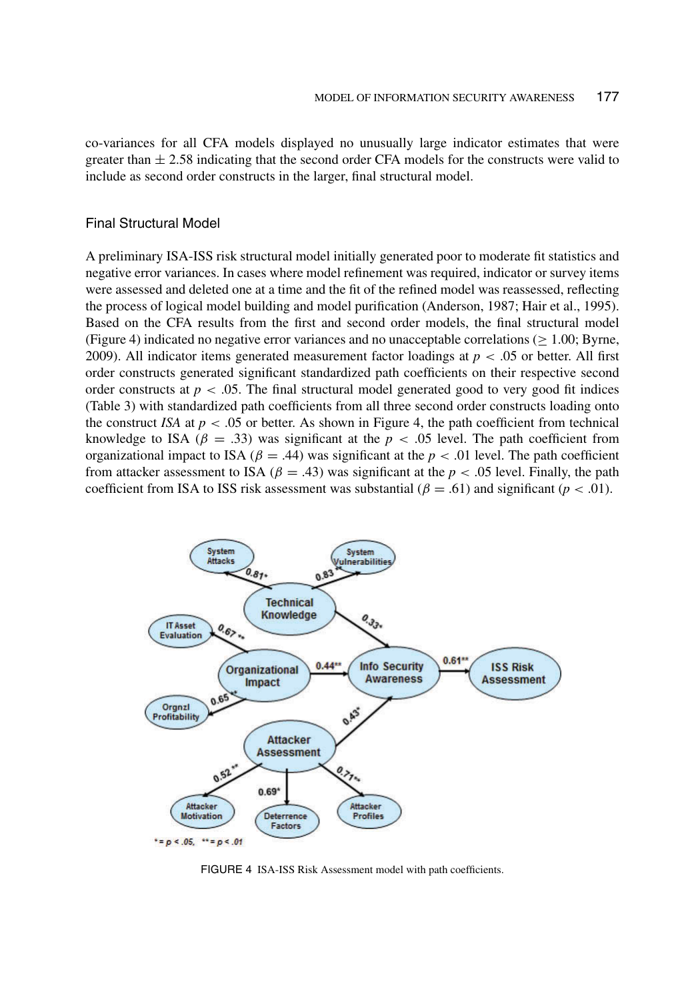co-variances for all CFA models displayed no unusually large indicator estimates that were greater than  $\pm$  2.58 indicating that the second order CFA models for the constructs were valid to include as second order constructs in the larger, final structural model.

#### Final Structural Model

A preliminary ISA-ISS risk structural model initially generated poor to moderate fit statistics and negative error variances. In cases where model refinement was required, indicator or survey items were assessed and deleted one at a time and the fit of the refined model was reassessed, reflecting the process of logical model building and model purification (Anderson, 1987; Hair et al., 1995). Based on the CFA results from the first and second order models, the final structural model (Figure 4) indicated no negative error variances and no unacceptable correlations ( $\geq 1.00$ ; Byrne, 2009). All indicator items generated measurement factor loadings at  $p < .05$  or better. All first order constructs generated significant standardized path coefficients on their respective second order constructs at  $p < .05$ . The final structural model generated good to very good fit indices (Table 3) with standardized path coefficients from all three second order constructs loading onto the construct *ISA* at  $p < .05$  or better. As shown in Figure 4, the path coefficient from technical knowledge to ISA ( $\beta$  = .33) was significant at the *p* < .05 level. The path coefficient from organizational impact to ISA ( $\beta$  = .44) was significant at the *p* < .01 level. The path coefficient from attacker assessment to ISA ( $\beta = .43$ ) was significant at the  $p < .05$  level. Finally, the path coefficient from ISA to ISS risk assessment was substantial  $(\beta = .61)$  and significant ( $p < .01$ ).



FIGURE 4 ISA-ISS Risk Assessment model with path coefficients.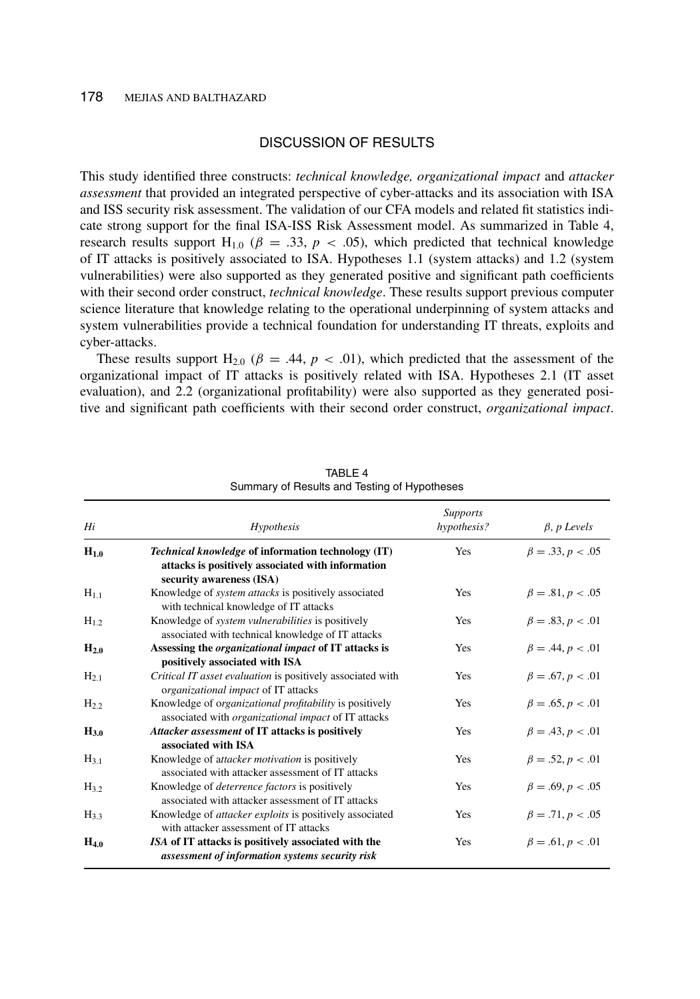## DISCUSSION OF RESULTS

This study identified three constructs: *technical knowledge, organizational impact* and *attacker assessment* that provided an integrated perspective of cyber-attacks and its association with ISA and ISS security risk assessment. The validation of our CFA models and related fit statistics indicate strong support for the final ISA-ISS Risk Assessment model. As summarized in Table 4, research results support H<sub>1.0</sub> ( $\beta = .33$ ,  $p < .05$ ), which predicted that technical knowledge of IT attacks is positively associated to ISA. Hypotheses 1.1 (system attacks) and 1.2 (system vulnerabilities) were also supported as they generated positive and significant path coefficients with their second order construct, *technical knowledge*. These results support previous computer science literature that knowledge relating to the operational underpinning of system attacks and system vulnerabilities provide a technical foundation for understanding IT threats, exploits and cyber-attacks.

These results support  $H_{2,0}$  ( $\beta = .44$ ,  $p < .01$ ), which predicted that the assessment of the organizational impact of IT attacks is positively related with ISA. Hypotheses 2.1 (IT asset evaluation), and 2.2 (organizational profitability) were also supported as they generated positive and significant path coefficients with their second order construct, *organizational impact*.

| Hi        | Hypothesis                                                                                                                                 | <b>Supports</b><br>hypothesis? | $\beta$ , p Levels     |
|-----------|--------------------------------------------------------------------------------------------------------------------------------------------|--------------------------------|------------------------|
| $H_{1.0}$ | <i>Technical knowledge</i> of information technology (IT)<br>attacks is positively associated with information<br>security awareness (ISA) | Yes                            | $\beta = .33, p < .05$ |
| $H_{1.1}$ | Knowledge of <i>system attacks</i> is positively associated<br>with technical knowledge of IT attacks                                      | Yes                            | $\beta = .81, p < .05$ |
| $H_{1,2}$ | Knowledge of <i>system vulnerabilities</i> is positively<br>associated with technical knowledge of IT attacks                              | Yes                            | $\beta = .83, p < .01$ |
| $H_{2,0}$ | Assessing the <i>organizational impact</i> of IT attacks is<br>positively associated with ISA                                              | Yes                            | $\beta = .44, p < .01$ |
| $H_{2,1}$ | Critical IT asset evaluation is positively associated with<br>organizational impact of IT attacks                                          | <b>Yes</b>                     | $\beta = .67, p < .01$ |
| $H_{2,2}$ | Knowledge of organizational profitability is positively<br>associated with <i>organizational impact</i> of IT attacks                      | Yes                            | $\beta = .65, p < .01$ |
| $H_{3,0}$ | Attacker assessment of IT attacks is positively<br>associated with ISA                                                                     | Yes                            | $\beta = .43, p < .01$ |
| $H_3_1$   | Knowledge of attacker motivation is positively<br>associated with attacker assessment of IT attacks                                        | Yes                            | $\beta = .52, p < .01$ |
| $H_{3.2}$ | Knowledge of <i>deterrence factors</i> is positively<br>associated with attacker assessment of IT attacks                                  | Yes                            | $\beta = .69, p < .05$ |
| $H_{3,3}$ | Knowledge of <i>attacker exploits</i> is positively associated<br>with attacker assessment of IT attacks                                   | Yes                            | $\beta = .71, p < .05$ |
| $H_{4.0}$ | ISA of IT attacks is positively associated with the<br>assessment of information systems security risk                                     | Yes                            | $\beta = .61, p < .01$ |

TABLE 4 Summary of Results and Testing of Hypotheses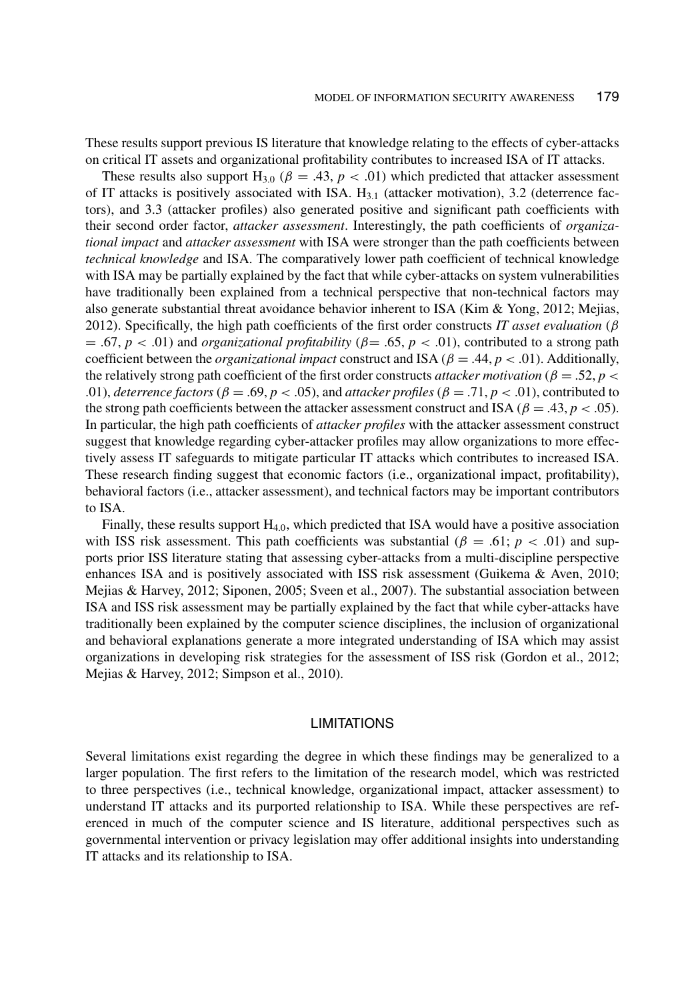These results support previous IS literature that knowledge relating to the effects of cyber-attacks on critical IT assets and organizational profitability contributes to increased ISA of IT attacks.

These results also support  $H_{3.0}$  ( $\beta = .43$ ,  $p < .01$ ) which predicted that attacker assessment of IT attacks is positively associated with ISA.  $H_{3,1}$  (attacker motivation), 3.2 (deterrence factors), and 3.3 (attacker profiles) also generated positive and significant path coefficients with their second order factor, *attacker assessment*. Interestingly, the path coefficients of *organizational impact* and *attacker assessment* with ISA were stronger than the path coefficients between *technical knowledge* and ISA. The comparatively lower path coefficient of technical knowledge with ISA may be partially explained by the fact that while cyber-attacks on system vulnerabilities have traditionally been explained from a technical perspective that non-technical factors may also generate substantial threat avoidance behavior inherent to ISA (Kim & Yong, 2012; Mejias, 2012). Specifically, the high path coefficients of the first order constructs *IT asset evaluation* (β  $= .67, p < .01$ ) and *organizational profitability* ( $\beta = .65, p < .01$ ), contributed to a strong path coefficient between the *organizational impact* construct and ISA ( $\beta = .44$ ,  $p < .01$ ). Additionally, the relatively strong path coefficient of the first order constructs *attacker motivation* ( $\beta = .52$ ,  $p <$ .01), *deterrence factors* ( $\beta = .69$ ,  $p < .05$ ), and *attacker profiles* ( $\beta = .71$ ,  $p < .01$ ), contributed to the strong path coefficients between the attacker assessment construct and ISA ( $\beta = .43$ ,  $p < .05$ ). In particular, the high path coefficients of *attacker profiles* with the attacker assessment construct suggest that knowledge regarding cyber-attacker profiles may allow organizations to more effectively assess IT safeguards to mitigate particular IT attacks which contributes to increased ISA. These research finding suggest that economic factors (i.e., organizational impact, profitability), behavioral factors (i.e., attacker assessment), and technical factors may be important contributors to ISA.

Finally, these results support  $H_{4,0}$ , which predicted that ISA would have a positive association with ISS risk assessment. This path coefficients was substantial  $(\beta = .61; p < .01)$  and supports prior ISS literature stating that assessing cyber-attacks from a multi-discipline perspective enhances ISA and is positively associated with ISS risk assessment (Guikema & Aven, 2010; Mejias & Harvey, 2012; Siponen, 2005; Sveen et al., 2007). The substantial association between ISA and ISS risk assessment may be partially explained by the fact that while cyber-attacks have traditionally been explained by the computer science disciplines, the inclusion of organizational and behavioral explanations generate a more integrated understanding of ISA which may assist organizations in developing risk strategies for the assessment of ISS risk (Gordon et al., 2012; Mejias & Harvey, 2012; Simpson et al., 2010).

## LIMITATIONS

Several limitations exist regarding the degree in which these findings may be generalized to a larger population. The first refers to the limitation of the research model, which was restricted to three perspectives (i.e., technical knowledge, organizational impact, attacker assessment) to understand IT attacks and its purported relationship to ISA. While these perspectives are referenced in much of the computer science and IS literature, additional perspectives such as governmental intervention or privacy legislation may offer additional insights into understanding IT attacks and its relationship to ISA.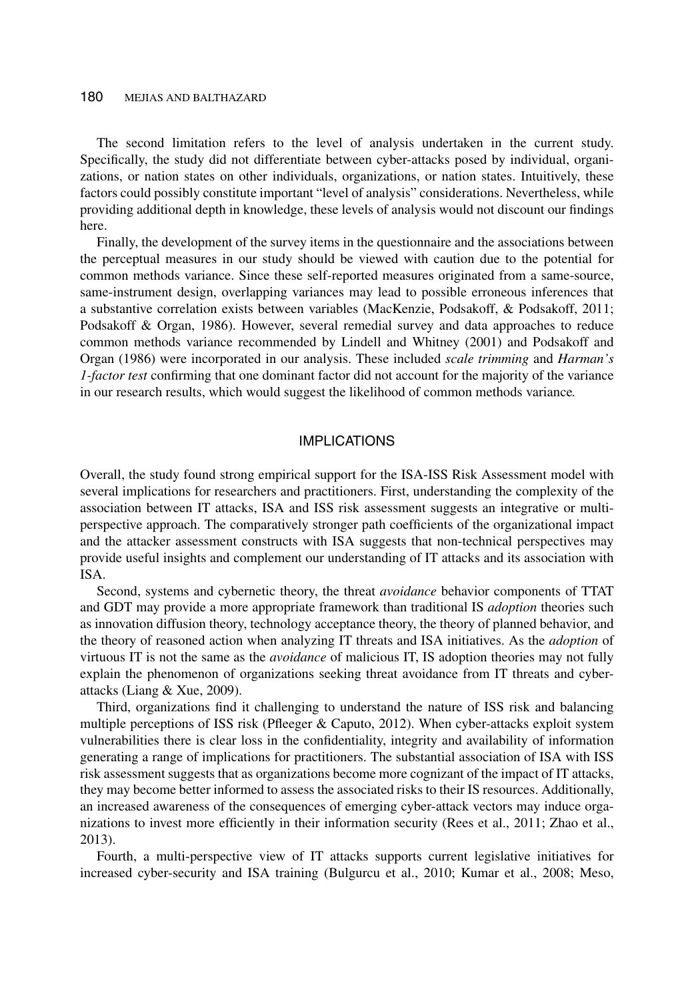The second limitation refers to the level of analysis undertaken in the current study. Specifically, the study did not differentiate between cyber-attacks posed by individual, organizations, or nation states on other individuals, organizations, or nation states. Intuitively, these factors could possibly constitute important "level of analysis" considerations. Nevertheless, while providing additional depth in knowledge, these levels of analysis would not discount our findings here.

Finally, the development of the survey items in the questionnaire and the associations between the perceptual measures in our study should be viewed with caution due to the potential for common methods variance. Since these self-reported measures originated from a same-source, same-instrument design, overlapping variances may lead to possible erroneous inferences that a substantive correlation exists between variables (MacKenzie, Podsakoff, & Podsakoff, 2011; Podsakoff & Organ, 1986). However, several remedial survey and data approaches to reduce common methods variance recommended by Lindell and Whitney (2001) and Podsakoff and Organ (1986) were incorporated in our analysis. These included *scale trimming* and *Harman's 1-factor test* confirming that one dominant factor did not account for the majority of the variance in our research results, which would suggest the likelihood of common methods variance*.*

#### IMPLICATIONS

Overall, the study found strong empirical support for the ISA-ISS Risk Assessment model with several implications for researchers and practitioners. First, understanding the complexity of the association between IT attacks, ISA and ISS risk assessment suggests an integrative or multiperspective approach. The comparatively stronger path coefficients of the organizational impact and the attacker assessment constructs with ISA suggests that non-technical perspectives may provide useful insights and complement our understanding of IT attacks and its association with ISA.

Second, systems and cybernetic theory, the threat *avoidance* behavior components of TTAT and GDT may provide a more appropriate framework than traditional IS *adoption* theories such as innovation diffusion theory, technology acceptance theory, the theory of planned behavior, and the theory of reasoned action when analyzing IT threats and ISA initiatives. As the *adoption* of virtuous IT is not the same as the *avoidance* of malicious IT, IS adoption theories may not fully explain the phenomenon of organizations seeking threat avoidance from IT threats and cyberattacks (Liang & Xue, 2009).

Third, organizations find it challenging to understand the nature of ISS risk and balancing multiple perceptions of ISS risk (Pfleeger & Caputo, 2012). When cyber-attacks exploit system vulnerabilities there is clear loss in the confidentiality, integrity and availability of information generating a range of implications for practitioners. The substantial association of ISA with ISS risk assessment suggests that as organizations become more cognizant of the impact of IT attacks, they may become better informed to assess the associated risks to their IS resources. Additionally, an increased awareness of the consequences of emerging cyber-attack vectors may induce organizations to invest more efficiently in their information security (Rees et al., 2011; Zhao et al., 2013).

Fourth, a multi-perspective view of IT attacks supports current legislative initiatives for increased cyber-security and ISA training (Bulgurcu et al., 2010; Kumar et al., 2008; Meso,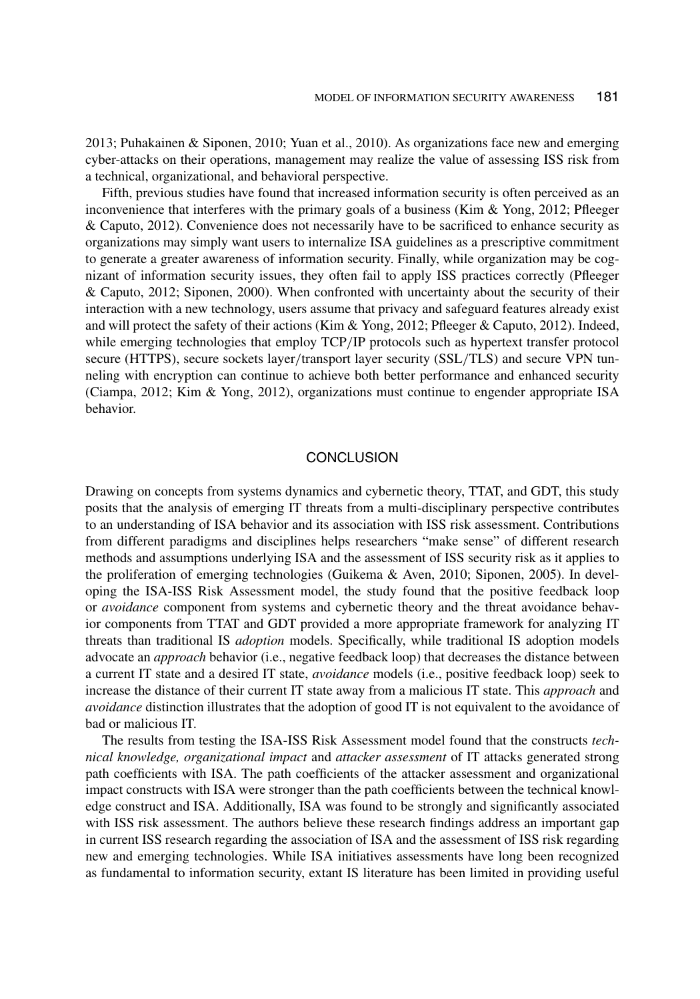2013; Puhakainen & Siponen, 2010; Yuan et al., 2010). As organizations face new and emerging cyber-attacks on their operations, management may realize the value of assessing ISS risk from a technical, organizational, and behavioral perspective.

Fifth, previous studies have found that increased information security is often perceived as an inconvenience that interferes with the primary goals of a business (Kim & Yong, 2012; Pfleeger & Caputo, 2012). Convenience does not necessarily have to be sacrificed to enhance security as organizations may simply want users to internalize ISA guidelines as a prescriptive commitment to generate a greater awareness of information security. Finally, while organization may be cognizant of information security issues, they often fail to apply ISS practices correctly (Pfleeger & Caputo, 2012; Siponen, 2000). When confronted with uncertainty about the security of their interaction with a new technology, users assume that privacy and safeguard features already exist and will protect the safety of their actions (Kim & Yong, 2012; Pfleeger & Caputo, 2012). Indeed, while emerging technologies that employ  $TCP/IP$  protocols such as hypertext transfer protocol secure (HTTPS), secure sockets layer/transport layer security (SSL/TLS) and secure VPN tunneling with encryption can continue to achieve both better performance and enhanced security (Ciampa, 2012; Kim & Yong, 2012), organizations must continue to engender appropriate ISA behavior.

#### **CONCLUSION**

Drawing on concepts from systems dynamics and cybernetic theory, TTAT, and GDT, this study posits that the analysis of emerging IT threats from a multi-disciplinary perspective contributes to an understanding of ISA behavior and its association with ISS risk assessment. Contributions from different paradigms and disciplines helps researchers "make sense" of different research methods and assumptions underlying ISA and the assessment of ISS security risk as it applies to the proliferation of emerging technologies (Guikema & Aven, 2010; Siponen, 2005). In developing the ISA-ISS Risk Assessment model, the study found that the positive feedback loop or *avoidance* component from systems and cybernetic theory and the threat avoidance behavior components from TTAT and GDT provided a more appropriate framework for analyzing IT threats than traditional IS *adoption* models. Specifically, while traditional IS adoption models advocate an *approach* behavior (i.e., negative feedback loop) that decreases the distance between a current IT state and a desired IT state, *avoidance* models (i.e., positive feedback loop) seek to increase the distance of their current IT state away from a malicious IT state. This *approach* and *avoidance* distinction illustrates that the adoption of good IT is not equivalent to the avoidance of bad or malicious IT.

The results from testing the ISA-ISS Risk Assessment model found that the constructs *technical knowledge, organizational impact* and *attacker assessment* of IT attacks generated strong path coefficients with ISA. The path coefficients of the attacker assessment and organizational impact constructs with ISA were stronger than the path coefficients between the technical knowledge construct and ISA. Additionally, ISA was found to be strongly and significantly associated with ISS risk assessment. The authors believe these research findings address an important gap in current ISS research regarding the association of ISA and the assessment of ISS risk regarding new and emerging technologies. While ISA initiatives assessments have long been recognized as fundamental to information security, extant IS literature has been limited in providing useful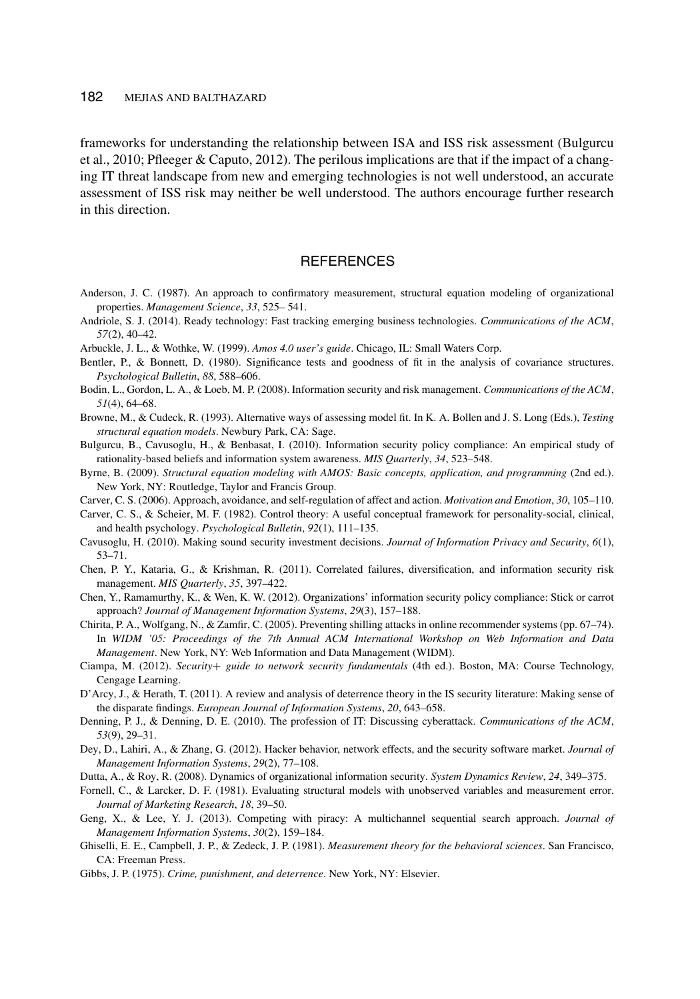frameworks for understanding the relationship between ISA and ISS risk assessment (Bulgurcu et al., 2010; Pfleeger & Caputo, 2012). The perilous implications are that if the impact of a changing IT threat landscape from new and emerging technologies is not well understood, an accurate assessment of ISS risk may neither be well understood. The authors encourage further research in this direction.

## **REFERENCES**

- Anderson, J. C. (1987). An approach to confirmatory measurement, structural equation modeling of organizational properties. *Management Science*, *33*, 525– 541.
- Andriole, S. J. (2014). Ready technology: Fast tracking emerging business technologies. *Communications of the ACM*, *57*(2), 40–42.
- Arbuckle, J. L., & Wothke, W. (1999). *Amos 4.0 user's guide*. Chicago, IL: Small Waters Corp.
- Bentler, P., & Bonnett, D. (1980). Significance tests and goodness of fit in the analysis of covariance structures. *Psychological Bulletin*, *88*, 588–606.
- Bodin, L., Gordon, L. A., & Loeb, M. P. (2008). Information security and risk management. *Communications of the ACM*, *51*(4), 64–68.
- Browne, M., & Cudeck, R. (1993). Alternative ways of assessing model fit. In K. A. Bollen and J. S. Long (Eds.), *Testing structural equation models*. Newbury Park, CA: Sage.
- Bulgurcu, B., Cavusoglu, H., & Benbasat, I. (2010). Information security policy compliance: An empirical study of rationality-based beliefs and information system awareness. *MIS Quarterly*, *34*, 523–548.
- Byrne, B. (2009). *Structural equation modeling with AMOS: Basic concepts, application, and programming* (2nd ed.). New York, NY: Routledge, Taylor and Francis Group.
- Carver, C. S. (2006). Approach, avoidance, and self-regulation of affect and action. *Motivation and Emotion*, *30*, 105–110.
- Carver, C. S., & Scheier, M. F. (1982). Control theory: A useful conceptual framework for personality-social, clinical, and health psychology. *Psychological Bulletin*, *92*(1), 111–135.
- Cavusoglu, H. (2010). Making sound security investment decisions. *Journal of Information Privacy and Security*, *6*(1), 53–71.
- Chen, P. Y., Kataria, G., & Krishman, R. (2011). Correlated failures, diversification, and information security risk management. *MIS Quarterly*, *35*, 397–422.
- Chen, Y., Ramamurthy, K., & Wen, K. W. (2012). Organizations' information security policy compliance: Stick or carrot approach? *Journal of Management Information Systems*, *29*(3), 157–188.
- Chirita, P. A., Wolfgang, N., & Zamfir, C. (2005). Preventing shilling attacks in online recommender systems (pp. 67–74). In *WIDM '05: Proceedings of the 7th Annual ACM International Workshop on Web Information and Data Management*. New York, NY: Web Information and Data Management (WIDM).
- Ciampa, M. (2012). *Security*+ *guide to network security fundamentals* (4th ed.). Boston, MA: Course Technology, Cengage Learning.
- D'Arcy, J., & Herath, T. (2011). A review and analysis of deterrence theory in the IS security literature: Making sense of the disparate findings. *European Journal of Information Systems*, *20*, 643–658.
- Denning, P. J., & Denning, D. E. (2010). The profession of IT: Discussing cyberattack. *Communications of the ACM*, *53*(9), 29–31.
- Dey, D., Lahiri, A., & Zhang, G. (2012). Hacker behavior, network effects, and the security software market. *Journal of Management Information Systems*, *29*(2), 77–108.
- Dutta, A., & Roy, R. (2008). Dynamics of organizational information security. *System Dynamics Review*, *24*, 349–375.
- Fornell, C., & Larcker, D. F. (1981). Evaluating structural models with unobserved variables and measurement error. *Journal of Marketing Research*, *18*, 39–50.
- Geng, X., & Lee, Y. J. (2013). Competing with piracy: A multichannel sequential search approach. *Journal of Management Information Systems*, *30*(2), 159–184.
- Ghiselli, E. E., Campbell, J. P., & Zedeck, J. P. (1981). *Measurement theory for the behavioral sciences*. San Francisco, CA: Freeman Press.
- Gibbs, J. P. (1975). *Crime, punishment, and deterrence*. New York, NY: Elsevier.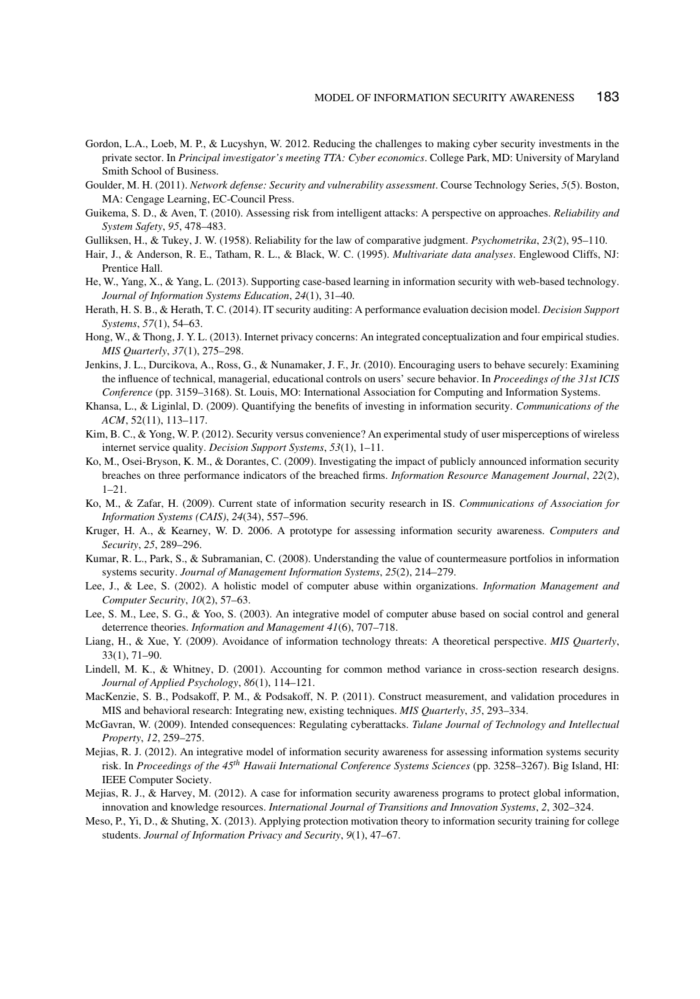- Gordon, L.A., Loeb, M. P., & Lucyshyn, W. 2012. Reducing the challenges to making cyber security investments in the private sector. In *Principal investigator's meeting TTA: Cyber economics*. College Park, MD: University of Maryland Smith School of Business.
- Goulder, M. H. (2011). *Network defense: Security and vulnerability assessment*. Course Technology Series, *5*(5). Boston, MA: Cengage Learning, EC-Council Press.
- Guikema, S. D., & Aven, T. (2010). Assessing risk from intelligent attacks: A perspective on approaches. *Reliability and System Safety*, *95*, 478–483.
- Gulliksen, H., & Tukey, J. W. (1958). Reliability for the law of comparative judgment. *Psychometrika*, *23*(2), 95–110.
- Hair, J., & Anderson, R. E., Tatham, R. L., & Black, W. C. (1995). *Multivariate data analyses*. Englewood Cliffs, NJ: Prentice Hall.
- He, W., Yang, X., & Yang, L. (2013). Supporting case-based learning in information security with web-based technology. *Journal of Information Systems Education*, *24*(1), 31–40.
- Herath, H. S. B., & Herath, T. C. (2014). IT security auditing: A performance evaluation decision model. *Decision Support Systems*, *57*(1), 54–63.
- Hong, W., & Thong, J. Y. L. (2013). Internet privacy concerns: An integrated conceptualization and four empirical studies. *MIS Quarterly*, *37*(1), 275–298.
- Jenkins, J. L., Durcikova, A., Ross, G., & Nunamaker, J. F., Jr. (2010). Encouraging users to behave securely: Examining the influence of technical, managerial, educational controls on users' secure behavior. In *Proceedings of the 31st ICIS Conference* (pp. 3159–3168). St. Louis, MO: International Association for Computing and Information Systems.
- Khansa, L., & Liginlal, D. (2009). Quantifying the benefits of investing in information security. *Communications of the ACM*, 52(11), 113–117.
- Kim, B. C., & Yong, W. P. (2012). Security versus convenience? An experimental study of user misperceptions of wireless internet service quality. *Decision Support Systems*, *53*(1), 1–11.
- Ko, M., Osei-Bryson, K. M., & Dorantes, C. (2009). Investigating the impact of publicly announced information security breaches on three performance indicators of the breached firms. *Information Resource Management Journal*, *22*(2),  $1 - 21$ .
- Ko, M., & Zafar, H. (2009). Current state of information security research in IS. *Communications of Association for Information Systems (CAIS)*, *24*(34), 557–596.
- Kruger, H. A., & Kearney, W. D. 2006. A prototype for assessing information security awareness. *Computers and Security*, *25*, 289–296.
- Kumar, R. L., Park, S., & Subramanian, C. (2008). Understanding the value of countermeasure portfolios in information systems security. *Journal of Management Information Systems*, *25*(2), 214–279.
- Lee, J., & Lee, S. (2002). A holistic model of computer abuse within organizations. *Information Management and Computer Security*, *10*(2), 57–63.
- Lee, S. M., Lee, S. G., & Yoo, S. (2003). An integrative model of computer abuse based on social control and general deterrence theories. *Information and Management 41*(6), 707–718.
- Liang, H., & Xue, Y. (2009). Avoidance of information technology threats: A theoretical perspective. *MIS Quarterly*, 33(1), 71–90.
- Lindell, M. K., & Whitney, D. (2001). Accounting for common method variance in cross-section research designs. *Journal of Applied Psychology*, *86*(1), 114–121.
- MacKenzie, S. B., Podsakoff, P. M., & Podsakoff, N. P. (2011). Construct measurement, and validation procedures in MIS and behavioral research: Integrating new, existing techniques. *MIS Quarterly*, *35*, 293–334.
- McGavran, W. (2009). Intended consequences: Regulating cyberattacks. *Tulane Journal of Technology and Intellectual Property*, *12*, 259–275.
- Mejias, R. J. (2012). An integrative model of information security awareness for assessing information systems security risk. In *Proceedings of the 45th Hawaii International Conference Systems Sciences* (pp. 3258–3267). Big Island, HI: IEEE Computer Society.
- Mejias, R. J., & Harvey, M. (2012). A case for information security awareness programs to protect global information, innovation and knowledge resources. *International Journal of Transitions and Innovation Systems*, *2*, 302–324.
- Meso, P., Yi, D., & Shuting, X. (2013). Applying protection motivation theory to information security training for college students. *Journal of Information Privacy and Security*, *9*(1), 47–67.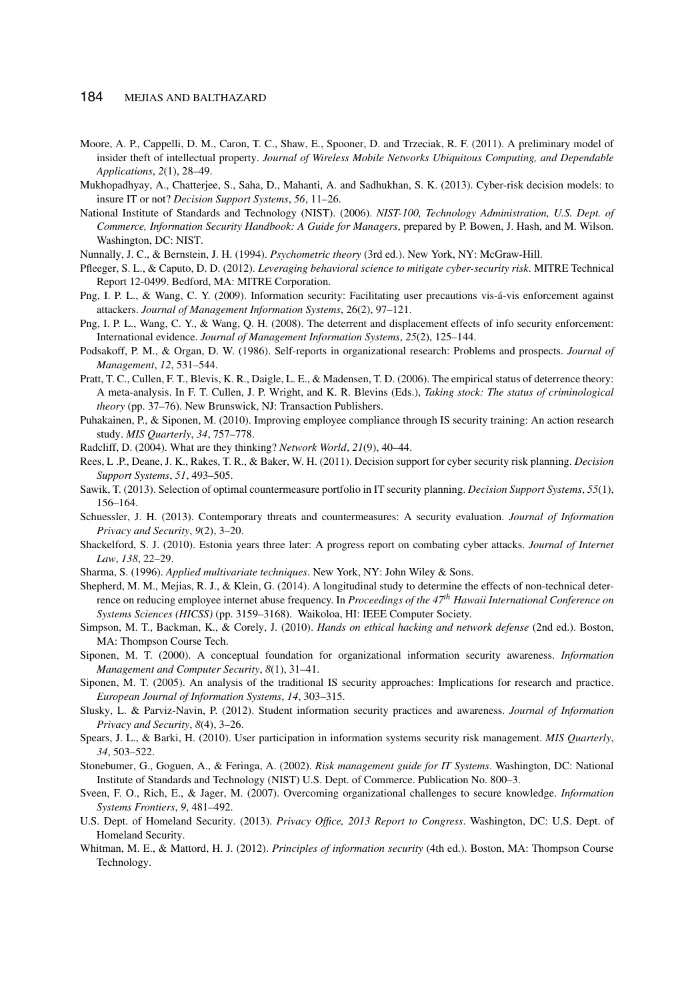- Moore, A. P., Cappelli, D. M., Caron, T. C., Shaw, E., Spooner, D. and Trzeciak, R. F. (2011). A preliminary model of insider theft of intellectual property. *Journal of Wireless Mobile Networks Ubiquitous Computing, and Dependable Applications*, *2*(1), 28–49.
- Mukhopadhyay, A., Chatterjee, S., Saha, D., Mahanti, A. and Sadhukhan, S. K. (2013). Cyber-risk decision models: to insure IT or not? *Decision Support Systems*, *56*, 11–26.
- National Institute of Standards and Technology (NIST). (2006). *NIST-100, Technology Administration, U.S. Dept. of Commerce, Information Security Handbook: A Guide for Managers*, prepared by P. Bowen, J. Hash, and M. Wilson. Washington, DC: NIST.
- Nunnally, J. C., & Bernstein, J. H. (1994). *Psychometric theory* (3rd ed.). New York, NY: McGraw-Hill.
- Pfleeger, S. L., & Caputo, D. D. (2012). *Leveraging behavioral science to mitigate cyber-security risk*. MITRE Technical Report 12-0499. Bedford, MA: MITRE Corporation.
- Png, I. P. L., & Wang, C. Y. (2009). Information security: Facilitating user precautions vis-á-vis enforcement against attackers. *Journal of Management Information Systems*, 26(2), 97–121.
- Png, I. P. L., Wang, C. Y., & Wang, Q. H. (2008). The deterrent and displacement effects of info security enforcement: International evidence. *Journal of Management Information Systems*, *25*(2), 125–144.
- Podsakoff, P. M., & Organ, D. W. (1986). Self-reports in organizational research: Problems and prospects. *Journal of Management*, *12*, 531–544.
- Pratt, T. C., Cullen, F. T., Blevis, K. R., Daigle, L. E., & Madensen, T. D. (2006). The empirical status of deterrence theory: A meta-analysis. In F. T. Cullen, J. P. Wright, and K. R. Blevins (Eds.), *Taking stock: The status of criminological theory* (pp. 37–76). New Brunswick, NJ: Transaction Publishers.
- Puhakainen, P., & Siponen, M. (2010). Improving employee compliance through IS security training: An action research study. *MIS Quarterly*, *34*, 757–778.
- Radcliff, D. (2004). What are they thinking? *Network World*, *21*(9), 40–44.
- Rees, L .P., Deane, J. K., Rakes, T. R., & Baker, W. H. (2011). Decision support for cyber security risk planning. *Decision Support Systems*, *51*, 493–505.
- Sawik, T. (2013). Selection of optimal countermeasure portfolio in IT security planning. *Decision Support Systems*, *55*(1), 156–164.
- Schuessler, J. H. (2013). Contemporary threats and countermeasures: A security evaluation. *Journal of Information Privacy and Security*, *9*(2), 3–20.
- Shackelford, S. J. (2010). Estonia years three later: A progress report on combating cyber attacks. *Journal of Internet Law*, *138*, 22–29.
- Sharma, S. (1996). *Applied multivariate techniques*. New York, NY: John Wiley & Sons.
- Shepherd, M. M., Mejias, R. J., & Klein, G. (2014). A longitudinal study to determine the effects of non-technical deterrence on reducing employee internet abuse frequency. In *Proceedings of the 47th Hawaii International Conference on Systems Sciences (HICSS)* (pp. 3159–3168). Waikoloa, HI: IEEE Computer Society.
- Simpson, M. T., Backman, K., & Corely, J. (2010). *Hands on ethical hacking and network defense* (2nd ed.). Boston, MA: Thompson Course Tech.
- Siponen, M. T. (2000). A conceptual foundation for organizational information security awareness. *Information Management and Computer Security*, *8*(1), 31–41.
- Siponen, M. T. (2005). An analysis of the traditional IS security approaches: Implications for research and practice. *European Journal of Information Systems*, *14*, 303–315.
- Slusky, L. & Parviz-Navin, P. (2012). Student information security practices and awareness. *Journal of Information Privacy and Security*, *8*(4), 3–26.
- Spears, J. L., & Barki, H. (2010). User participation in information systems security risk management. *MIS Quarterly*, *34*, 503–522.
- Stonebumer, G., Goguen, A., & Feringa, A. (2002). *Risk management guide for IT Systems*. Washington, DC: National Institute of Standards and Technology (NIST) U.S. Dept. of Commerce. Publication No. 800–3.
- Sveen, F. O., Rich, E., & Jager, M. (2007). Overcoming organizational challenges to secure knowledge. *Information Systems Frontiers*, *9*, 481–492.
- U.S. Dept. of Homeland Security. (2013). *Privacy Office, 2013 Report to Congress*. Washington, DC: U.S. Dept. of Homeland Security.
- Whitman, M. E., & Mattord, H. J. (2012). *Principles of information security* (4th ed.). Boston, MA: Thompson Course Technology.